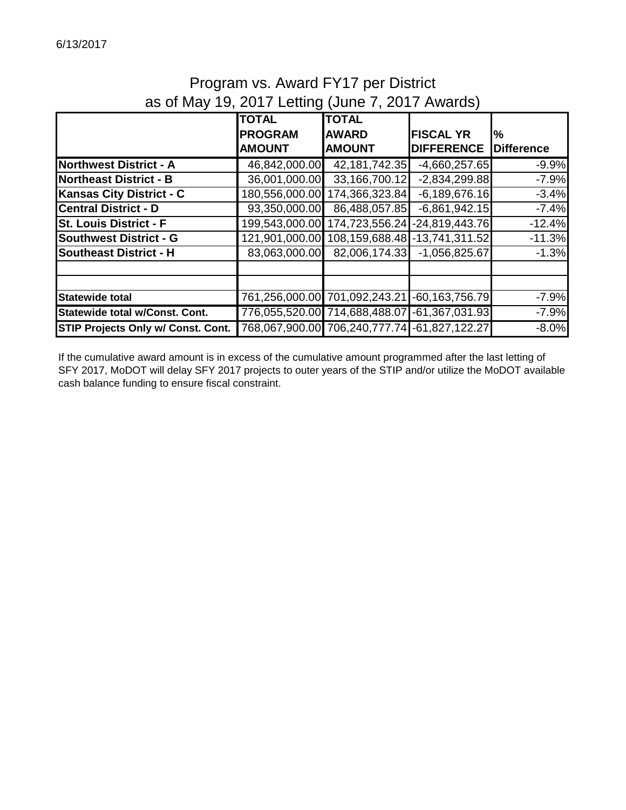# Program vs. Award FY17 per District as of May 19, 2017 Letting (June 7, 2017 Awards)

|                                           | <b>TOTAL</b>   | <b>TOTAL</b>                                 |                    |                   |
|-------------------------------------------|----------------|----------------------------------------------|--------------------|-------------------|
|                                           | <b>PROGRAM</b> | <b>AWARD</b>                                 | <b>FISCAL YR</b>   | l%                |
|                                           | <b>AMOUNT</b>  | <b>AMOUNT</b>                                | <b>DIFFERENCE</b>  | <b>Difference</b> |
| <b>Northwest District - A</b>             | 46,842,000.00  | 42, 181, 742. 35                             | $-4,660,257.65$    | $-9.9%$           |
| <b>Northeast District - B</b>             | 36,001,000.00  | 33,166,700.12                                | $-2,834,299.88$    | $-7.9%$           |
| <b>Kansas City District - C</b>           | 180,556,000.00 | 174,366,323.84                               | $-6,189,676.16$    | $-3.4%$           |
| <b>Central District - D</b>               | 93,350,000.00  | 86,488,057.85                                | $-6,861,942.15$    | $-7.4%$           |
| <b>St. Louis District - F</b>             | 199,543,000.00 | 174,723,556.24                               | $-24,819,443.76$   | $-12.4%$          |
| <b>Southwest District - G</b>             | 121,901,000.00 | 108,159,688.48 - 13,741,311.52               |                    | $-11.3%$          |
| <b>Southeast District - H</b>             | 83,063,000.00  | 82,006,174.33                                | $-1,056,825.67$    | $-1.3%$           |
|                                           |                |                                              |                    |                   |
|                                           |                |                                              |                    |                   |
| <b>Statewide total</b>                    | 761,256,000.00 | 701,092,243.21                               | $-60, 163, 756.79$ | $-7.9%$           |
| Statewide total w/Const. Cont.            |                | 776,055,520.00 714,688,488.07                | $-61,367,031.93$   | $-7.9%$           |
| <b>STIP Projects Only w/ Const. Cont.</b> |                | 768,067,900.00 706,240,777.74 -61,827,122.27 |                    | $-8.0%$           |

If the cumulative award amount is in excess of the cumulative amount programmed after the last letting of SFY 2017, MoDOT will delay SFY 2017 projects to outer years of the STIP and/or utilize the MoDOT available cash balance funding to ensure fiscal constraint.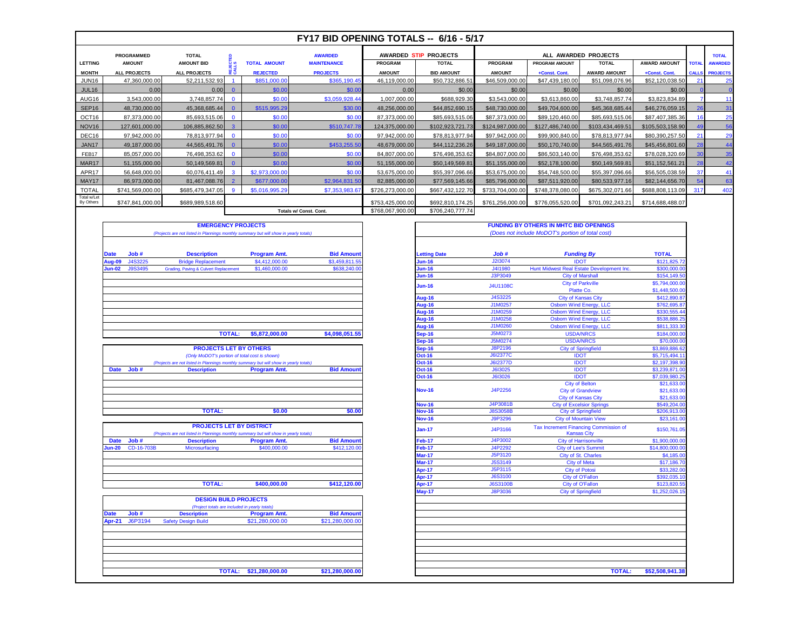| FY17 BID OPENING TOTALS -- 6/16 - 5/17 |                                                                       |                                   |                |                     |                                      |                  |                                       |                  |                       |                                      |                     |                 |                                |
|----------------------------------------|-----------------------------------------------------------------------|-----------------------------------|----------------|---------------------|--------------------------------------|------------------|---------------------------------------|------------------|-----------------------|--------------------------------------|---------------------|-----------------|--------------------------------|
| <b>LETTING</b>                         | <b>PROGRAMMED</b><br><b>AMOUNT</b>                                    | <b>TOTAL</b><br><b>AMOUNT BID</b> | م ن            | <b>TOTAL AMOUNT</b> | <b>AWARDED</b><br><b>MAINTENANCE</b> | <b>PROGRAM</b>   | AWARDED STIP PROJECTS<br><b>TOTAL</b> | <b>PROGRAM</b>   | <b>PROGRAM AMOUNT</b> | ALL AWARDED PROJECTS<br><b>TOTAL</b> | <b>AWARD AMOUNT</b> | <b>TOTAL</b>    | <b>TOTAL</b><br><b>AWARDED</b> |
| <b>MONTH</b>                           | <b>ALL PROJECTS</b>                                                   | <b>ALL PROJECTS</b>               | ēδ             | <b>REJECTED</b>     | <b>PROJECTS</b>                      | <b>AMOUNT</b>    | <b>BID AMOUNT</b>                     | <b>AMOUNT</b>    | +Const. Cont.         | <b>AWARD AMOUNT</b>                  | +Const. Cont.       |                 | <b>CALLS PROJECTS</b>          |
| JUN16                                  | 47,360,000.00                                                         | 52,211,532.93                     |                | \$851,000.00        | \$365,190.45                         | 46,119,000.00    | \$50,732,886.51                       | \$46,509,000.00  | \$47,439,180.00       | \$51,098,076.96                      | \$52,120,038.50     |                 | 25                             |
| JUL16                                  | 0.00                                                                  | 0.00                              | $\mathbf{0}$   | \$0.00              | \$0.00                               | 0.00             | \$0.00                                | \$0.00           | \$0.00                | \$0.00                               | \$0.00              |                 |                                |
| AUG16                                  | 3,543,000.00                                                          | 3,748,857.74                      | $\Omega$       | \$0.00              | \$3,059,928.44                       | 1,007,000.00     | \$688,929.30                          | \$3,543,000.00   | \$3,613,860.00        | \$3,748,857.74                       | \$3,823,834.89      |                 | 11                             |
| SEP <sub>16</sub>                      | 48,730,000.00                                                         | 45,368,685.44                     | $\Omega$       | \$515,995.29        | \$30.00                              | 48,256,000.00    | \$44,852,690.15                       | \$48,730,000.00  | \$49,704,600.00       | \$45,368,685.44                      | \$46,276,059.15     | 26              | 31                             |
| OCT16                                  | 87,373,000.00                                                         | 85,693,515.06                     | $\mathbf{0}$   | \$0.00              | \$0.00                               | 87,373,000.00    | \$85,693,515.06                       | \$87,373,000.00  | \$89,120,460.00       | \$85,693,515.06                      | \$87,407,385.36     |                 | 25                             |
| NOV <sub>16</sub>                      | 127,601,000.00                                                        | 106,885,862.50                    | -3             | \$0.00              | \$510,747.7                          | 124,375,000.00   | \$102,923,721.73                      | \$124,987,000.00 | \$127.486.740.00      | \$103,434,469.51                     | \$105,503,158.90    |                 | 56                             |
| DEC16                                  | 97,942,000.00                                                         | 78,813,977.94 0                   |                | \$0.00              | \$0.0                                | 97,942,000.00    | \$78,813,977.94                       | \$97,942,000.00  | \$99,900,840.00       | \$78,813,977.94                      | \$80,390,257.50     |                 | 29                             |
| JAN17                                  | 49,187,000.00                                                         | 44,565,491.76                     | $\overline{0}$ | \$0.00              | \$453,255.50                         | 48,679,000.00    | \$44,112,236.26                       | \$49,187,000.00  | \$50,170,740.00       | \$44,565,491.76                      | \$45,456,801.60     | 28              | 44                             |
| FEB17                                  | 85,057,000.00                                                         | 76,498,353.62                     | $\mathbf{0}$   | \$0.00              | \$0.00                               | 84.807.000.00    | \$76,498,353.62                       | \$84,807,000.00  | \$86,503,140,00       | \$76,498,353.62                      | \$78,028,320.69     | 30 <sub>1</sub> | 35                             |
| MAR17                                  | 51,155,000.00                                                         | 50,149,569.81 0                   |                | \$0.00              | \$0.00                               | 51,155,000.00    | \$50,149,569.81                       | \$51,155,000.00  | \$52,178,100.00       | \$50,149,569.81                      | \$51,152,561.21     | 28              | 42                             |
| APR17                                  | 56,648,000.00                                                         | 60,076,411.49                     | 3              | \$2,973,000.00      | \$0.00                               | 53,675,000.00    | \$55,397,096.66                       | \$53,675,000.00  | \$54,748,500.00       | \$55,397,096.66                      | \$56,505,038.59     | 37              | 41                             |
| MAY17                                  | 86,973,000.00                                                         | 81,467,088.76                     | $\overline{2}$ | \$677,000.00        | \$2,964,831.50                       | 82,885,000.00    | \$77,569,145.66                       | \$85,796,000.00  | \$87,511,920.00       | \$80,533,977.16                      | \$82,144,656.70     | 54              | 63                             |
| <b>TOTAL</b>                           | \$741,569,000.00                                                      | \$685,479,347.05                  | -9             | \$5,016,995.29      | \$7,353,983.67                       | \$726,273,000.00 | \$667,432,122.70                      | \$733,704,000.00 | \$748,378,080.00      | \$675,302,071.66                     | \$688,808,113.09    | 317             | 402                            |
| Total w/Let<br>By Others               | \$747,841,000.00                                                      | \$689,989,518.60                  |                |                     |                                      | \$753,425,000.00 | \$692,810,174.25                      | \$761,256,000.00 | \$776,055,520.00      | \$701,092,243.21                     | \$714,688,488.07    |                 |                                |
|                                        | \$768,067,900.00<br>\$706,240,777.74<br><b>Totals w/ Const. Cont.</b> |                                   |                |                     |                                      |                  |                                       |                  |                       |                                      |                     |                 |                                |

| <b>EMERGENCY PROJECTS</b><br>(Projects are not listed in Plannings monthly summary but will show in yearly totals) |         |                                       |                     |                   |  |  |
|--------------------------------------------------------------------------------------------------------------------|---------|---------------------------------------|---------------------|-------------------|--|--|
|                                                                                                                    |         |                                       |                     |                   |  |  |
| <b>Date</b>                                                                                                        | Job#    | <b>Description</b>                    | <b>Program Amt.</b> | <b>Bid Amount</b> |  |  |
| Aug-09                                                                                                             | J4S3225 | <b>Bridge Replacement</b>             | \$4,412,000.00      | \$3,459,811.55    |  |  |
| <b>Jun-02</b>                                                                                                      | J9S3495 | Grading, Paving & Culvert Replacement | \$1,460,000.00      | \$638,240.00      |  |  |
|                                                                                                                    |         |                                       |                     |                   |  |  |
|                                                                                                                    |         |                                       |                     |                   |  |  |

|             |                  | <b>PROJECTS LET BY OTHERS</b>                                                         |              |                   |
|-------------|------------------|---------------------------------------------------------------------------------------|--------------|-------------------|
|             |                  | (Only MoDOT's portion of total cost is shown)                                         |              |                   |
|             |                  | (Projects are not listed in Plannings monthly summary but will show in yearly totals) |              |                   |
| <b>Date</b> | J <sub>ob#</sub> | <b>Description</b>                                                                    | Program Amt. | <b>Bid Amount</b> |
|             |                  |                                                                                       |              |                   |
|             |                  |                                                                                       |              |                   |
|             |                  |                                                                                       |              |                   |
|             |                  |                                                                                       |              |                   |
|             |                  |                                                                                       |              |                   |
|             |                  |                                                                                       |              |                   |

|               | <b>PROJECTS LET BY DISTRICT</b><br>(Projects are not listed in Plannings monthly summary but will show in yearly totals) |                   |              |              |  |  |  |
|---------------|--------------------------------------------------------------------------------------------------------------------------|-------------------|--------------|--------------|--|--|--|
|               |                                                                                                                          |                   |              |              |  |  |  |
| <b>Date</b>   | Job#                                                                                                                     | <b>Bid Amount</b> |              |              |  |  |  |
| <b>Jun-20</b> | CD-16-703B                                                                                                               | Microsurfacing    | \$400,000,00 | \$412,120,00 |  |  |  |
|               |                                                                                                                          |                   |              |              |  |  |  |
|               |                                                                                                                          |                   |              |              |  |  |  |
|               |                                                                                                                          |                   |              |              |  |  |  |
|               |                                                                                                                          |                   |              |              |  |  |  |
|               |                                                                                                                          | <b>TOTAL:</b>     | \$400,000,00 | \$412,120.00 |  |  |  |
|               |                                                                                                                          |                   |              |              |  |  |  |

|             | <b>DESIGN BUILD PROJECTS</b><br>(Project totals are included in yearly totals) |                            |  |                     |                   |  |  |
|-------------|--------------------------------------------------------------------------------|----------------------------|--|---------------------|-------------------|--|--|
|             |                                                                                |                            |  |                     |                   |  |  |
| <b>Date</b> | Job#                                                                           | <b>Description</b>         |  | <b>Program Amt.</b> | <b>Bid Amount</b> |  |  |
| Apr-21      | J6P3194                                                                        | <b>Safety Design Build</b> |  | \$21,280,000.00     | \$21,280,000.00   |  |  |
|             |                                                                                |                            |  |                     |                   |  |  |
|             |                                                                                |                            |  |                     |                   |  |  |
|             |                                                                                |                            |  |                     |                   |  |  |
|             |                                                                                |                            |  |                     |                   |  |  |
|             |                                                                                |                            |  |                     |                   |  |  |
|             |                                                                                |                            |  |                     |                   |  |  |
|             |                                                                                |                            |  |                     |                   |  |  |

|               |                | <b>EMERGENCY PROJECTS</b>                                                                                                |                        |                   |                     |                 | <b>FUNDING BY OTHERS IN MHTC BID OPENINGS</b>               |                 |
|---------------|----------------|--------------------------------------------------------------------------------------------------------------------------|------------------------|-------------------|---------------------|-----------------|-------------------------------------------------------------|-----------------|
|               |                | (Projects are not listed in Plannings monthly summary but will show in yearly totals)                                    |                        |                   |                     |                 | (Does not include MoDOT's portion of total cost)            |                 |
|               |                |                                                                                                                          |                        |                   |                     |                 |                                                             |                 |
| <b>Date</b>   | Job#           | <b>Description</b>                                                                                                       | Program Amt.           | <b>Bid Amount</b> | <b>Letting Date</b> | Job#            | <b>Funding By</b>                                           | <b>TOTAL</b>    |
| <b>Aug-09</b> | J4S3225        | <b>Bridge Replacement</b>                                                                                                | \$4,412,000.00         | \$3,459,811.55    | $Jun-16$            | J213074         | <b>IDOT</b>                                                 | \$121.825.72    |
| <b>Jun-02</b> | <b>J9S3495</b> | <b>Grading, Paving &amp; Culvert Replacement</b>                                                                         | \$1,460,000.00         | \$638,240.00      | <b>Jun-16</b>       | J411980         | Hunt Midwest Real Estate Development Inc.                   | \$300,000.00    |
|               |                |                                                                                                                          |                        |                   | <b>Jun-16</b>       | J3P3049         | <b>City of Marshall</b>                                     | \$154,149.50    |
|               |                |                                                                                                                          |                        |                   |                     |                 | <b>City of Parkville</b>                                    | \$5,794,000.00  |
|               |                |                                                                                                                          |                        |                   | <b>Jun-16</b>       | <b>J4U1108C</b> | Platte Co.                                                  | \$1,448,500.00  |
|               |                |                                                                                                                          |                        |                   | <b>Aug-16</b>       | J4S3225         | <b>City of Kansas City</b>                                  | \$412,890.87    |
|               |                |                                                                                                                          |                        |                   | <b>Aug-16</b>       | J1M0257         | <b>Osborn Wind Energy, LLC</b>                              | \$762,695.87    |
|               |                |                                                                                                                          |                        |                   | Aug-16              | J1M0259         | Osborn Wind Energy, LLC                                     | \$330,555.44    |
|               |                |                                                                                                                          |                        |                   | <b>Aug-16</b>       | J1M0258         | <b>Osborn Wind Energy, LLC</b>                              | \$538,886.2     |
|               |                |                                                                                                                          |                        |                   | Aug-16              | J1M0260         | <b>Osborn Wind Energy, LLC</b>                              | \$811,333.3     |
|               |                | <b>TOTAL:</b>                                                                                                            | \$5,872,000.00         | \$4,098,051.55    | $\varepsilon$ ep-16 | J5M0273         | <b>USDA/NRCS</b>                                            | \$184,000.0     |
|               |                |                                                                                                                          |                        |                   | $Sep-16$            | J5M0274         | <b>USDA/NRCS</b>                                            | \$70,000.0      |
|               |                | <b>PROJECTS LET BY OTHERS</b>                                                                                            |                        |                   | $sep-16$            | <b>J8P2196</b>  | <b>City of Springfield</b>                                  | \$3,869,886.62  |
|               |                | (Only MoDOT's portion of total cost is shown)                                                                            |                        |                   | <b>Oct-16</b>       | <b>J6I2377C</b> | <b>IDOT</b>                                                 | \$5,715,494.11  |
|               |                | (Projects are not listed in Plannings monthly summary but will show in yearly totals)                                    |                        |                   | $Oct-16$            | <b>J6I2377D</b> | <b>IDOT</b>                                                 | \$2,197,398.90  |
| <b>Date</b>   | Job#           | <b>Description</b>                                                                                                       | <b>Program Amt.</b>    | <b>Bid Amount</b> | <b>Oct-16</b>       | J6I3025         | <b>IDOT</b>                                                 | \$3,239,871.00  |
|               |                |                                                                                                                          |                        |                   | <b>Oct-16</b>       | J6I3026         | <b>IDOT</b>                                                 | \$7,039,980.2   |
|               |                |                                                                                                                          |                        |                   |                     |                 | <b>City of Belton</b>                                       | \$21,633.00     |
|               |                |                                                                                                                          |                        |                   | <b>Nov-16</b>       | J4P2256         | <b>City of Grandview</b>                                    | \$21,633.00     |
|               |                |                                                                                                                          |                        |                   |                     |                 | <b>City of Kansas City</b>                                  | \$21,633.00     |
|               |                |                                                                                                                          |                        |                   | <b>Nov-16</b>       | J4P3081B        | <b>City of Excelsior Springs</b>                            | \$549,204.00    |
|               |                | <b>TOTAL:</b>                                                                                                            | \$0.00                 | \$0.00            | <b>Nov-16</b>       | <b>J8S3058B</b> | <b>City of Springfield</b>                                  | \$206,913.00    |
|               |                |                                                                                                                          |                        |                   | <b>Nov-16</b>       | J9P3296         | <b>City of Mountain View</b>                                | \$23,161.00     |
|               |                | <b>PROJECTS LET BY DISTRICT</b><br>(Projects are not listed in Plannings monthly summary but will show in yearly totals) |                        |                   | <b>Jan-17</b>       | J4P3166         | Tax Increment Financing Commission of<br><b>Kansas City</b> | \$150,761.05    |
| <b>Date</b>   | Job#           | <b>Description</b>                                                                                                       | <b>Program Amt.</b>    | <b>Bid Amount</b> | Feb-17              | J4P3002         | <b>City of Harrisonville</b>                                | \$1,900,000.0   |
| <b>Jun-20</b> | CD-16-703B     | Microsurfacing                                                                                                           | \$400,000.00           | \$412,120.00      | Feb-17              | J4P2292         | <b>City of Lee's Summit</b>                                 | \$14,800,000.00 |
|               |                |                                                                                                                          |                        |                   | $Mar-17$            | J5P3120         | City of St. Charles                                         | \$4,185.00      |
|               |                |                                                                                                                          |                        |                   | $Mar-17$            | J5S3149         | <b>City of Meta</b>                                         | \$17,186.70     |
|               |                |                                                                                                                          |                        |                   | Apr-17              | J5P3115         | <b>City of Potosi</b>                                       | \$33,282.00     |
|               |                |                                                                                                                          |                        |                   | Apr-17              | <b>J6S3100</b>  | <b>City of O'Fallon</b>                                     | \$392,035.10    |
|               |                | <b>TOTAL:</b>                                                                                                            | \$400,000.00           | \$412,120.00      | Apr-17              | <b>J6S3100B</b> | City of O'Fallon                                            | \$123,820.55    |
|               |                |                                                                                                                          |                        |                   | May-17              | <b>J8P3036</b>  | <b>City of Springfield</b>                                  | \$1,252,026.15  |
|               |                | <b>DESIGN BUILD PROJECTS</b>                                                                                             |                        |                   |                     |                 |                                                             |                 |
|               |                | (Project totals are included in yearly totals)                                                                           |                        |                   |                     |                 |                                                             |                 |
| <b>Date</b>   | Job#           | <b>Description</b>                                                                                                       | <b>Program Amt.</b>    | <b>Bid Amount</b> |                     |                 |                                                             |                 |
| <b>Apr-21</b> | J6P3194        | <b>Safety Design Build</b>                                                                                               | \$21,280,000.00        | \$21,280,000.00   |                     |                 |                                                             |                 |
|               |                |                                                                                                                          |                        |                   |                     |                 |                                                             |                 |
|               |                |                                                                                                                          |                        |                   |                     |                 |                                                             |                 |
|               |                |                                                                                                                          |                        |                   |                     |                 |                                                             |                 |
|               |                |                                                                                                                          |                        |                   |                     |                 |                                                             |                 |
|               |                |                                                                                                                          |                        |                   |                     |                 |                                                             |                 |
|               |                |                                                                                                                          |                        |                   |                     |                 |                                                             |                 |
|               |                |                                                                                                                          | TOTAL: \$21,280,000.00 | \$21,280,000.00   |                     |                 | <b>TOTAL:</b>                                               | \$52,508,941.38 |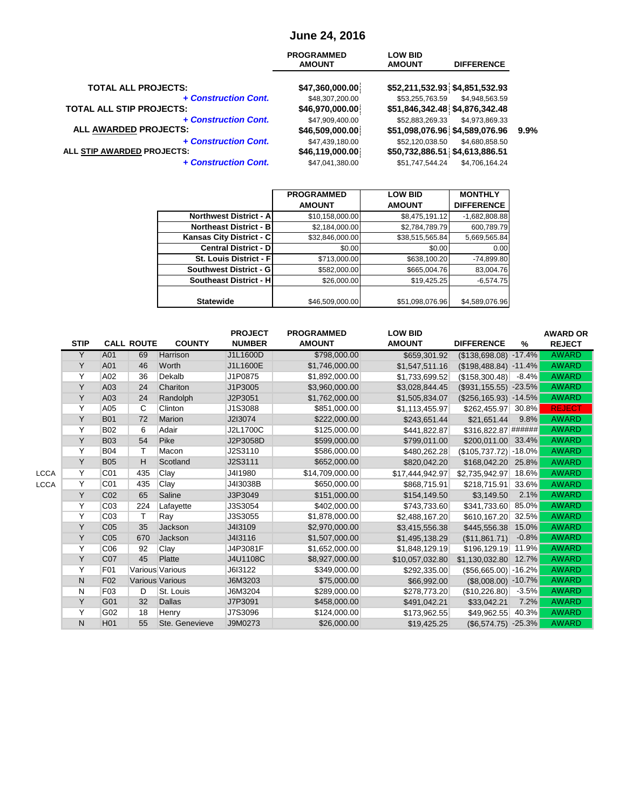# **June 24, 2016**

|                                 | <b>PROGRAMMED</b><br><b>AMOUNT</b> | <b>LOW BID</b><br><b>AMOUNT</b> | <b>DIFFERENCE</b> |      |
|---------------------------------|------------------------------------|---------------------------------|-------------------|------|
| <b>TOTAL ALL PROJECTS:</b>      | \$47,360,000.00                    | \$52,211,532.93 \$4,851,532.93  |                   |      |
| + Construction Cont.            | \$48,307,200.00                    | \$53,255,763.59                 | \$4,948,563.59    |      |
| <b>TOTAL ALL STIP PROJECTS:</b> | \$46,970,000.00                    | \$51,846,342.48 \$4,876,342.48  |                   |      |
| + Construction Cont.            | \$47,909,400.00                    | \$52,883,269.33                 | \$4,973,869.33    |      |
| <b>ALL AWARDED PROJECTS:</b>    | \$46,509,000.00                    | \$51,098,076.96 \$4,589,076.96  |                   | 9.9% |
| + Construction Cont.            | \$47,439,180.00                    | \$52,120,038.50                 | \$4,680,858.50    |      |
| ALL STIP AWARDED PROJECTS:      | \$46,119,000.00                    | \$50,732,886.51 \$4,613,886.51  |                   |      |
| + Construction Cont.            | \$47.041.380.00                    | \$51.747.544.24                 | \$4.706.164.24    |      |

|                                 | <b>PROGRAMMED</b> | <b>LOW BID</b>  | <b>MONTHLY</b>    |
|---------------------------------|-------------------|-----------------|-------------------|
|                                 | <b>AMOUNT</b>     | <b>AMOUNT</b>   | <b>DIFFERENCE</b> |
| <b>Northwest District - All</b> | \$10,158,000.00   | \$8,475,191.12  | $-1,682,808.88$   |
| Northeast District - B          | \$2,184,000.00    | \$2,784,789.79  | 600,789.79        |
| Kansas City District - C        | \$32,846,000.00   | \$38,515,565.84 | 5,669,565.84      |
| <b>Central District - DI</b>    | \$0.00            | \$0.00          | 0.00              |
| <b>St. Louis District - Fl.</b> | \$713,000.00      | \$638,100.20    | $-74,899.80$      |
| Southwest District - G          | \$582,000.00      | \$665,004.76    | 83,004.76         |
| <b>Southeast District - HI</b>  | \$26,000.00       | \$19,425.25     | $-6,574.75$       |
|                                 |                   |                 |                   |
| <b>Statewide</b>                | \$46,509,000.00   | \$51,098,076.96 | \$4,589,076.96    |

|      |             |                   |     |                        | <b>PROJECT</b> | <b>PROGRAMMED</b> | <b>LOW BID</b>  |                          |          | <b>AWARD OR</b> |
|------|-------------|-------------------|-----|------------------------|----------------|-------------------|-----------------|--------------------------|----------|-----------------|
|      | <b>STIP</b> | <b>CALL ROUTE</b> |     | <b>COUNTY</b>          | <b>NUMBER</b>  | <b>AMOUNT</b>     | <b>AMOUNT</b>   | <b>DIFFERENCE</b>        | $\%$     | <b>REJECT</b>   |
|      | Y           | A01               | 69  | Harrison               | J1L1600D       | \$798,000.00      | \$659,301.92    | (\$138,698.08)           | $-17.4%$ | <b>AWARD</b>    |
|      | Y           | A01               | 46  | Worth                  | J1L1600E       | \$1,746,000.00    | \$1,547,511.16  | $($198,488.84) -11.4%$   |          | <b>AWARD</b>    |
|      | Υ           | A02               | 36  | Dekalb                 | J1P0875        | \$1,892,000.00    | \$1,733,699.52  | (\$158,300.48)           | $-8.4%$  | <b>AWARD</b>    |
|      | Y           | A03               | 24  | Chariton               | J1P3005        | \$3,960,000.00    | \$3,028,844.45  | $(\$931,155.55) -23.5%$  |          | <b>AWARD</b>    |
|      | Y           | A03               | 24  | Randolph               | J2P3051        | \$1,762,000.00    | \$1,505,834.07  | $(\$256, 165.93) -14.5%$ |          | <b>AWARD</b>    |
|      | Υ           | A05               | C   | Clinton                | J1S3088        | \$851,000.00      | \$1,113,455.97  | \$262,455.97             | 30.8%    | <b>REJECT</b>   |
|      | Y           | <b>B01</b>        | 72  | <b>Marion</b>          | J2I3074        | \$222,000.00      | \$243,651.44    | \$21,651.44              | 9.8%     | <b>AWARD</b>    |
|      | Υ           | <b>B02</b>        | 6   | Adair                  | J2L1700C       | \$125,000.00      | \$441,822.87    | \$316,822.87 ######      |          | <b>AWARD</b>    |
|      | Y           | <b>B03</b>        | 54  | Pike                   | J2P3058D       | \$599,000.00      | \$799,011.00    | \$200,011.00             | 33.4%    | <b>AWARD</b>    |
|      | Υ           | <b>B04</b>        | Т   | Macon                  | J2S3110        | \$586,000.00      | \$480,262.28    | $($105,737.72)$ -18.0%   |          | <b>AWARD</b>    |
|      | Y           | <b>B05</b>        | н   | Scotland               | J2S3111        | \$652,000.00      | \$820,042.20    | \$168,042.20             | 25.8%    | <b>AWARD</b>    |
| LCCA | Y           | C <sub>01</sub>   | 435 | Clay                   | J4I1980        | \$14,709,000.00   | \$17,444,942.97 | \$2,735,942.97           | 18.6%    | <b>AWARD</b>    |
| LCCA | Y           | C <sub>01</sub>   | 435 | Clay                   | J4I3038B       | \$650,000.00      | \$868,715.91    | \$218,715.91             | 33.6%    | <b>AWARD</b>    |
|      | Y           | C <sub>02</sub>   | 65  | Saline                 | J3P3049        | \$151,000.00      | \$154,149.50    | \$3,149.50               | 2.1%     | <b>AWARD</b>    |
|      | Y           | CO <sub>3</sub>   | 224 | Lafayette              | J3S3054        | \$402,000.00      | \$743,733.60    | \$341,733.60             | 85.0%    | <b>AWARD</b>    |
|      | Υ           | C <sub>03</sub>   | т   | Ray                    | J3S3055        | \$1,878,000.00    | \$2,488,167.20  | \$610,167.20             | 32.5%    | <b>AWARD</b>    |
|      | Y           | C <sub>05</sub>   | 35  | Jackson                | J4I3109        | \$2,970,000.00    | \$3,415,556.38  | \$445,556.38             | 15.0%    | <b>AWARD</b>    |
|      | Y           | C <sub>05</sub>   | 670 | Jackson                | J4I3116        | \$1,507,000.00    | \$1,495,138.29  | (\$11,861.71)            | $-0.8%$  | <b>AWARD</b>    |
|      | Y           | C06               | 92  | Clay                   | J4P3081F       | \$1,652,000.00    | \$1,848,129.19  | \$196,129.19             | 11.9%    | <b>AWARD</b>    |
|      | Y           | C <sub>07</sub>   | 45  | Platte                 | J4U1108C       | \$8,927,000.00    | \$10,057,032.80 | \$1,130,032.80           | 12.7%    | <b>AWARD</b>    |
|      | Υ           | F01               |     | Various Various        | J6I3122        | \$349,000.00      | \$292,335.00    | $($56,665.00)$ -16.2%    |          | <b>AWARD</b>    |
|      | N           | F <sub>02</sub>   |     | <b>Various Various</b> | J6M3203        | \$75,000.00       | \$66,992.00     | $($8,008.00) -10.7\%$    |          | <b>AWARD</b>    |
|      | N           | F <sub>03</sub>   | D   | St. Louis              | J6M3204        | \$289,000.00      | \$278,773.20    | (\$10,226.80)            | $-3.5%$  | <b>AWARD</b>    |
|      | Y           | G01               | 32  | <b>Dallas</b>          | J7P3091        | \$458,000.00      | \$491,042.21    | \$33,042.21              | 7.2%     | <b>AWARD</b>    |
|      | Υ           | G02               | 18  | Henry                  | J7S3096        | \$124,000.00      | \$173,962.55    | \$49,962.55              | 40.3%    | <b>AWARD</b>    |
|      | N           | H <sub>01</sub>   | 55  | Ste. Genevieve         | J9M0273        | \$26,000.00       | \$19,425.25     | $($6,574.75) -25.3\%$    |          | <b>AWARD</b>    |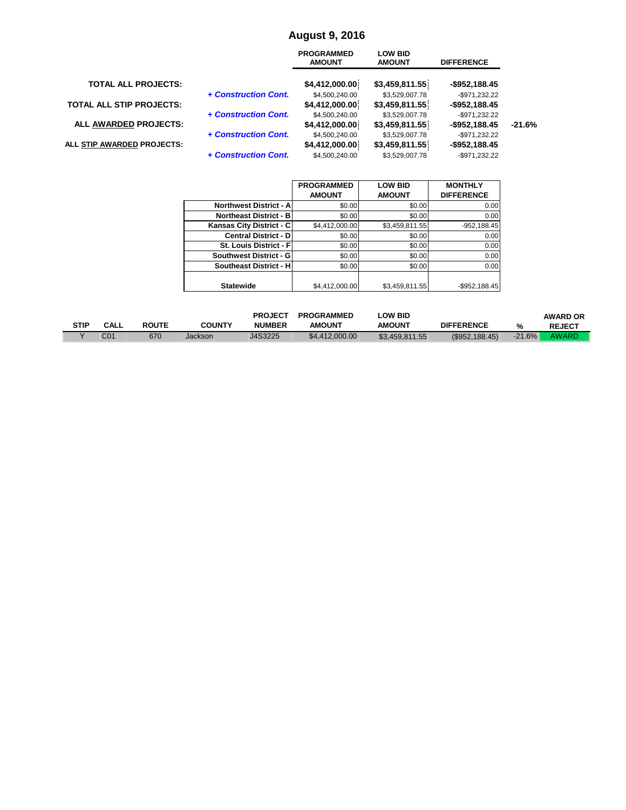#### **August 9, 2016**

|                                 |                      | <b>PROGRAMMED</b><br><b>AMOUNT</b> | <b>LOW BID</b><br><b>AMOUNT</b>  | <b>DIFFERENCE</b>                  |          |
|---------------------------------|----------------------|------------------------------------|----------------------------------|------------------------------------|----------|
| <b>TOTAL ALL PROJECTS:</b>      |                      | \$4,412,000.00                     | \$3,459,811.55                   | $-$952,188.45$                     |          |
| <b>TOTAL ALL STIP PROJECTS:</b> | + Construction Cont. | \$4,500,240.00<br>\$4,412,000.00   | \$3,529,007.78<br>\$3,459,811.55 | $-$ \$971.232.22<br>$-$952,188.45$ |          |
| ALL AWARDED PROJECTS:           | + Construction Cont. | \$4,500,240.00<br>\$4,412,000.00   | \$3,529,007.78<br>\$3,459,811.55 | $-$971,232.22$<br>$-$ \$952,188.45 | $-21.6%$ |
| ALL STIP AWARDED PROJECTS:      | + Construction Cont. | \$4,500,240.00<br>\$4,412,000.00   | \$3,529,007.78<br>\$3,459,811.55 | $-$971,232.22$<br>$-$952,188.45$   |          |
|                                 | + Construction Cont. | \$4,500,240.00                     | \$3,529,007.78                   | $-$ \$971.232.22                   |          |

|                                | <b>PROGRAMMED</b> | <b>LOW BID</b> | <b>MONTHLY</b>    |
|--------------------------------|-------------------|----------------|-------------------|
|                                | <b>AMOUNT</b>     | <b>AMOUNT</b>  | <b>DIFFERENCE</b> |
| <b>Northwest District - Al</b> | \$0.00            | \$0.00         | 0.00              |
| <b>Northeast District - B</b>  | \$0.00            | \$0.00         | 0.00              |
| Kansas City District - C       | \$4,412,000.00    | \$3,459,811.55 | $-952, 188.45$    |
| <b>Central District - DI</b>   | \$0.00            | \$0.00         | 0.00              |
| St. Louis District - Fl        | \$0.00            | \$0.00         | 0.00              |
| Southwest District - G         | \$0.00            | \$0.00         | 0.00              |
| <b>Southeast District - H</b>  | \$0.00            | \$0.00         | 0.00              |
|                                |                   |                |                   |
| <b>Statewide</b>               | \$4,412,000.00    | \$3,459,811.55 | $-$ \$952,188.45  |

|      |                 |              |               | <b>PROJECT</b> | <b>PROGRAMMED</b> | <b>LOW BID</b> |                   |          | <b>AWARD OR</b> |
|------|-----------------|--------------|---------------|----------------|-------------------|----------------|-------------------|----------|-----------------|
| STIP | CALL            | <b>ROUTE</b> | <b>COUNTY</b> | <b>NUMBER</b>  | <b>AMOUNT</b>     | <b>AMOUNT</b>  | <b>DIFFERENCE</b> | $\%$     | <b>REJECT</b>   |
|      | C <sub>01</sub> | 670          | Jackson       | J4S3225        | \$4,412,000.00    | \$3,459,811.55 | (S952.188.45)     | $-21.6%$ | AWARD           |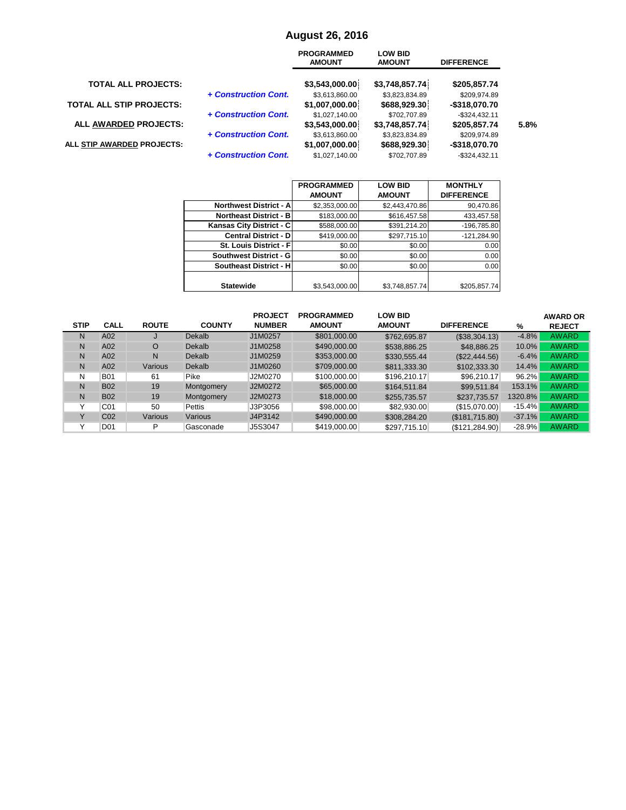#### **August 26, 2016**

|                                 |                      | <b>PROGRAMMED</b><br><b>AMOUNT</b> | <b>LOW BID</b><br><b>AMOUNT</b> | <b>DIFFERENCE</b>                |      |
|---------------------------------|----------------------|------------------------------------|---------------------------------|----------------------------------|------|
| <b>TOTAL ALL PROJECTS:</b>      |                      | \$3,543,000.00                     | \$3,748,857.74                  | \$205,857.74                     |      |
| <b>TOTAL ALL STIP PROJECTS:</b> | + Construction Cont. | \$3,613,860.00<br>\$1,007,000.00   | \$3,823,834.89<br>\$688,929.30  | \$209.974.89<br>-\$318,070.70    |      |
| ALL AWARDED PROJECTS:           | + Construction Cont. | \$1,027,140.00<br>\$3,543,000.00   | \$702,707.89<br>\$3,748,857.74  | $-$ \$324,432.11<br>\$205,857.74 | 5.8% |
| ALL STIP AWARDED PROJECTS:      | + Construction Cont. | \$3,613,860.00<br>\$1,007,000.00   | \$3,823,834.89<br>\$688,929.30  | \$209.974.89<br>-\$318,070.70    |      |
|                                 | + Construction Cont. | \$1.027.140.00                     | \$702.707.89                    | $-$ \$324.432.11                 |      |

|                                | <b>PROGRAMMED</b> | <b>LOW BID</b> | <b>MONTHLY</b>    |
|--------------------------------|-------------------|----------------|-------------------|
|                                | <b>AMOUNT</b>     | <b>AMOUNT</b>  | <b>DIFFERENCE</b> |
| <b>Northwest District - Al</b> | \$2,353,000.00    | \$2,443,470.86 | 90,470.86         |
| <b>Northeast District - BI</b> | \$183,000.00      | \$616,457.58   | 433,457.58        |
| Kansas City District - C       | \$588,000.00      | \$391,214.20   | $-196,785.80$     |
| <b>Central District - DI</b>   | \$419,000.00      | \$297,715.10   | $-121,284.90$     |
| St. Louis District - Fl        | \$0.00            | \$0.00         | 0.00              |
| Southwest District - G         | \$0.00            | \$0.00         | 0.00              |
| <b>Southeast District - H</b>  | \$0.00            | \$0.00         | 0.00              |
|                                |                   |                |                   |
| <b>Statewide</b>               | \$3,543,000.00    | \$3,748,857.74 | \$205,857.74      |

|              |                 |              |               | <b>PROJECT</b> | <b>PROGRAMMED</b> | <b>LOW BID</b> |                   |           | <b>AWARD OR</b> |
|--------------|-----------------|--------------|---------------|----------------|-------------------|----------------|-------------------|-----------|-----------------|
| <b>STIP</b>  | <b>CALL</b>     | <b>ROUTE</b> | <b>COUNTY</b> | <b>NUMBER</b>  | <b>AMOUNT</b>     | <b>AMOUNT</b>  | <b>DIFFERENCE</b> | %         | <b>REJECT</b>   |
| N            | A02             |              | Dekalb        | J1M0257        | \$801,000.00      | \$762,695.87   | (\$38,304.13)     | $-4.8%$   | <b>AWARD</b>    |
| N            | A02             | O            | <b>Dekalb</b> | J1M0258        | \$490,000.00      | \$538,886.25   | \$48,886.25       | 10.0%     | <b>AWARD</b>    |
| N            | A02             | N            | <b>Dekalb</b> | J1M0259        | \$353,000.00      | \$330,555,44   | (S22.444.56)      | $-6.4%$   | <b>AWARD</b>    |
| N            | A02             | Various      | <b>Dekalb</b> | J1M0260        | \$709,000.00      | \$811,333.30   | \$102,333.30      | 14.4%     | <b>AWARD</b>    |
| N            | <b>B01</b>      | 61           | Pike          | J2M0270        | \$100,000.00      | \$196,210.17   | \$96,210.17       | 96.2%     | <b>AWARD</b>    |
| N            | <b>B02</b>      | 19           | Montgomery    | J2M0272        | \$65,000,00       | \$164,511.84   | \$99.511.84       | 153.1%    | <b>AWARD</b>    |
| N            | <b>B02</b>      | 19           | Montgomery    | J2M0273        | \$18,000.00       | \$255,735.57   | \$237,735.57      | 1320.8%   | <b>AWARD</b>    |
| $\checkmark$ | C01             | 50           | Pettis        | J3P3056        | \$98,000,00       | \$82.930.00    | (\$15,070.00)     | $-15.4\%$ | <b>AWARD</b>    |
| $\checkmark$ | C <sub>02</sub> | Various      | Various       | J4P3142        | \$490,000.00      | \$308,284.20   | (\$181,715.80)    | $-37.1%$  | <b>AWARD</b>    |
|              | D01             | P            | Gasconade     | J5S3047        | \$419,000.00      | \$297,715.10   | (S121, 284.90)    | $-28.9%$  | <b>AWARD</b>    |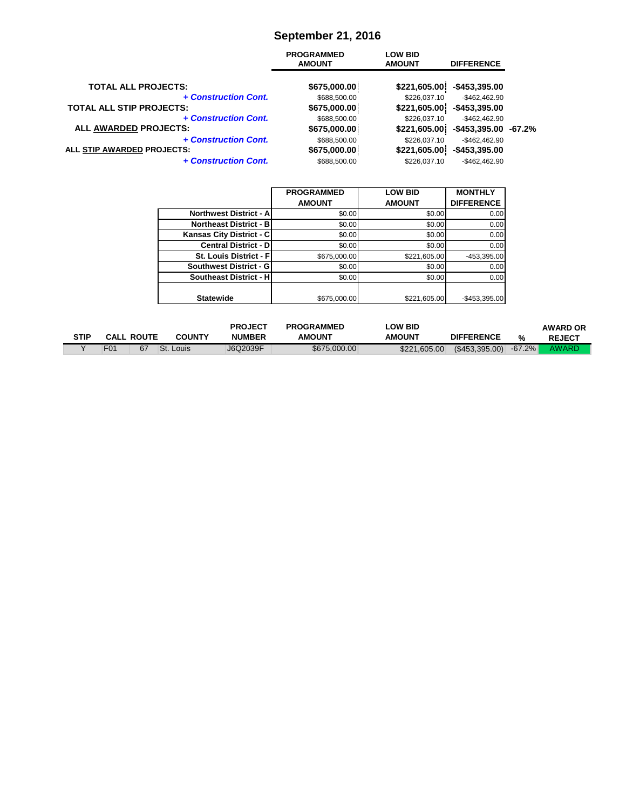# **September 21, 2016**

|                                 | <b>PROGRAMMED</b><br><b>AMOUNT</b> | <b>LOW BID</b><br><b>AMOUNT</b> | <b>DIFFERENCE</b>    |  |
|---------------------------------|------------------------------------|---------------------------------|----------------------|--|
| <b>TOTAL ALL PROJECTS:</b>      | \$675,000.00                       | \$221,605.00                    | -\$453,395.00        |  |
| + Construction Cont.            | \$688,500.00                       | \$226,037.10                    | $-$462.462.90$       |  |
| <b>TOTAL ALL STIP PROJECTS:</b> | \$675,000.00                       | \$221,605.00                    | -\$453,395.00        |  |
| + Construction Cont.            | \$688,500.00                       | \$226,037.10                    | $-$462.462.90$       |  |
| ALL AWARDED PROJECTS:           | \$675,000.00                       | \$221,605.00                    | -\$453,395.00 -67.2% |  |
| + Construction Cont.            | \$688,500.00                       | \$226,037.10                    | $-$462,462.90$       |  |
| ALL STIP AWARDED PROJECTS:      | \$675,000.00                       | \$221,605.00                    | $-$453,395.00$       |  |
| + Construction Cont.            | \$688,500.00                       | \$226.037.10                    | $-$462.462.90$       |  |

|                                 | <b>PROGRAMMED</b> | <b>LOW BID</b> | <b>MONTHLY</b>    |
|---------------------------------|-------------------|----------------|-------------------|
|                                 | <b>AMOUNT</b>     | <b>AMOUNT</b>  | <b>DIFFERENCE</b> |
| <b>Northwest District - All</b> | \$0.00            | \$0.00         | 0.00              |
| <b>Northeast District - BI</b>  | \$0.00            | \$0.00         | 0.00              |
| Kansas City District - C        | \$0.00            | \$0.00         | 0.00              |
| <b>Central District - DI</b>    | \$0.00            | \$0.00         | 0.00              |
| St. Louis District - Fl         | \$675,000.00      | \$221,605.00   | -453,395.00       |
| Southwest District - G          | \$0.00            | \$0.00         | 0.00              |
| <b>Southeast District - HI</b>  | \$0.00            | \$0.00         | 0.00              |
|                                 |                   |                |                   |
| <b>Statewide</b>                | \$675,000.00      | \$221,605.00   | $-$453,395.00$    |

|             |                   |    |               | <b>PROJECT</b> | <b>PROGRAMMED</b> | <b>LOW BID</b> |                         |   | <b>AWARD OR</b> |
|-------------|-------------------|----|---------------|----------------|-------------------|----------------|-------------------------|---|-----------------|
| <b>STIP</b> | <b>CALL ROUTE</b> |    | <b>COUNTY</b> | <b>NUMBER</b>  | <b>AMOUNT</b>     | <b>AMOUNT</b>  | <b>DIFFERENCE</b>       | % | <b>REJECT</b>   |
|             | F <sub>0</sub> 1  | 67 | St. Louis     | J6Q2039F       | \$675,000,00      | \$221,605,00   | $(S453,395.00) -67.2\%$ |   | <b>AWARD</b>    |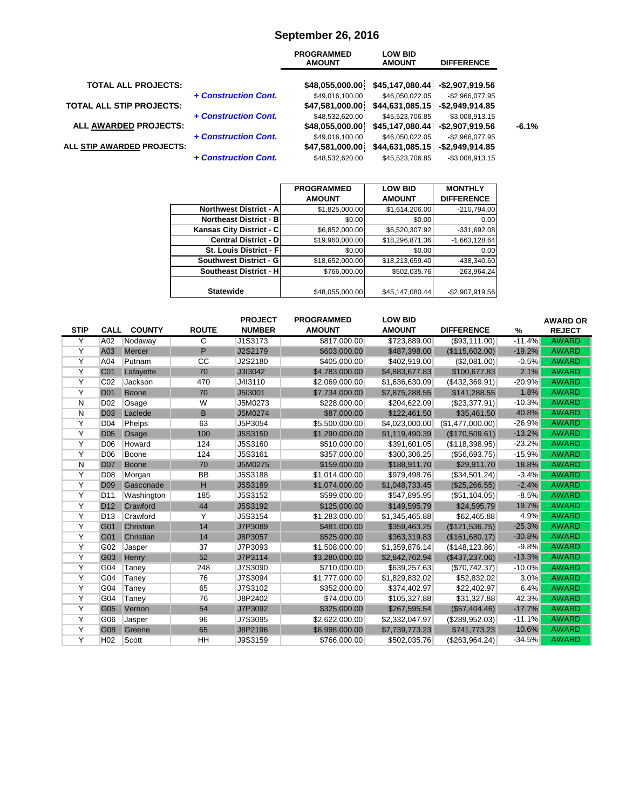## **September 26, 2016**

|                                 |                      | <b>PROGRAMMED</b><br><b>AMOUNT</b> | <b>LOW BID</b><br><b>AMOUNT</b>                     | <b>DIFFERENCE</b>  |         |
|---------------------------------|----------------------|------------------------------------|-----------------------------------------------------|--------------------|---------|
| <b>TOTAL ALL PROJECTS:</b>      |                      | \$48,055,000.00                    | \$45,147,080.44 - \$2,907,919.56                    |                    |         |
| <b>TOTAL ALL STIP PROJECTS:</b> | + Construction Cont. | \$49,016,100.00<br>\$47,581,000.00 | \$46.050.022.05<br>\$44,631,085.15 - \$2,949,914.85 | $-$ \$2.966.077.95 |         |
| ALL AWARDED PROJECTS:           | + Construction Cont. | \$48,532,620.00<br>\$48,055,000.00 | \$45,523,706.85<br>\$45,147,080.44 -\$2,907,919.56  | $-$ \$3.008.913.15 | $-6.1%$ |
| ALL STIP AWARDED PROJECTS:      | + Construction Cont. | \$49,016,100.00<br>\$47,581,000.00 | \$46,050,022.05<br>\$44,631,085.15 - \$2,949,914.85 | $-$2,966,077.95$   |         |
|                                 | + Construction Cont. | \$48.532.620.00                    | \$45,523,706.85                                     | $-$ \$3.008.913.15 |         |

| <b>PROGRAMMED</b><br><b>LOW BID</b><br><b>AMOUNT</b><br><b>AMOUNT</b><br><b>Northwest District - A</b><br>\$1,614,206.00<br>\$1,825,000.00<br><b>Northeast District - BI</b><br>\$0.00<br>\$0.00<br>Kansas City District - C<br>\$6,520,307.92<br>\$6,852,000.00<br><b>Central District - D</b><br>\$19,960,000.00<br>\$18,296,871.36<br><b>St. Louis District - Fl</b><br>\$0.00<br>\$0.00 | <b>MONTHLY</b><br><b>DIFFERENCE</b><br>$-210,794.00$<br>0.00<br>$-331,692.08$ |
|---------------------------------------------------------------------------------------------------------------------------------------------------------------------------------------------------------------------------------------------------------------------------------------------------------------------------------------------------------------------------------------------|-------------------------------------------------------------------------------|
|                                                                                                                                                                                                                                                                                                                                                                                             |                                                                               |
|                                                                                                                                                                                                                                                                                                                                                                                             |                                                                               |
|                                                                                                                                                                                                                                                                                                                                                                                             |                                                                               |
|                                                                                                                                                                                                                                                                                                                                                                                             |                                                                               |
|                                                                                                                                                                                                                                                                                                                                                                                             |                                                                               |
|                                                                                                                                                                                                                                                                                                                                                                                             | $-1,663,128.64$                                                               |
|                                                                                                                                                                                                                                                                                                                                                                                             | 0.00                                                                          |
| Southwest District - G<br>\$18,652,000.00<br>\$18,213,659.40                                                                                                                                                                                                                                                                                                                                | -438,340.60                                                                   |
| <b>Southeast District - H</b><br>\$766,000.00<br>\$502,035.76                                                                                                                                                                                                                                                                                                                               | -263,964.24                                                                   |
|                                                                                                                                                                                                                                                                                                                                                                                             |                                                                               |
| <b>Statewide</b><br>\$48,055,000.00<br>\$45,147,080.44                                                                                                                                                                                                                                                                                                                                      | $-$2,907,919.56$                                                              |

|             |                 |               |              | <b>PROJECT</b> | <b>PROGRAMMED</b> | <b>LOW BID</b> |                   |          | <b>AWARD OR</b> |
|-------------|-----------------|---------------|--------------|----------------|-------------------|----------------|-------------------|----------|-----------------|
| <b>STIP</b> | <b>CALL</b>     | <b>COUNTY</b> | <b>ROUTE</b> | <b>NUMBER</b>  | <b>AMOUNT</b>     | <b>AMOUNT</b>  | <b>DIFFERENCE</b> | %        | <b>REJECT</b>   |
| Y           | A02             | Nodaway       | C            | J1S3173        | \$817,000.00      | \$723,889.00   | (S93, 111.00)     | $-11.4%$ | <b>AWARD</b>    |
| Y           | A03             | Mercer        | P            | J2S2179        | \$603,000.00      | \$487,398.00   | (\$115,602.00)    | $-19.2%$ | <b>AWARD</b>    |
| Υ           | A04             | Putnam        | CC           | J2S2180        | \$405,000.00      | \$402,919.00   | (S2,081.00)       | $-0.5%$  | <b>AWARD</b>    |
| Υ           | C <sub>01</sub> | Lafayette     | 70           | J3I3042        | \$4,783,000.00    | \$4,883,677.83 | \$100,677.83      | 2.1%     | <b>AWARD</b>    |
| Y           | CO <sub>2</sub> | Jackson       | 470          | J4I3110        | \$2,069,000.00    | \$1,636,630.09 | (\$432,369.91)    | $-20.9%$ | <b>AWARD</b>    |
| Υ           | <b>D01</b>      | <b>Boone</b>  | 70           | J5I3001        | \$7,734,000.00    | \$7,875,288.55 | \$141,288.55      | 1.8%     | <b>AWARD</b>    |
| N           | D <sub>02</sub> | Osage         | W            | J5M0273        | \$228,000.00      | \$204,622.09   | $(\$23,377.91)$   | $-10.3%$ | <b>AWARD</b>    |
| N           | <b>D03</b>      | Laclede       | B            | J5M0274        | \$87,000.00       | \$122,461.50   | \$35,461.50       | 40.8%    | <b>AWARD</b>    |
| Υ           | D <sub>04</sub> | Phelps        | 63           | J5P3054        | \$5,500,000.00    | \$4,023,000.00 | (\$1,477,000.00)  | $-26.9%$ | <b>AWARD</b>    |
| Υ           | <b>D05</b>      | Osage         | 100          | J5S3150        | \$1,290,000.00    | \$1,119,490.39 | (\$170,509.61)    | $-13.2%$ | <b>AWARD</b>    |
| Υ           | D <sub>06</sub> | Howard        | 124          | J5S3160        | \$510,000.00      | \$391,601.05   | (S118, 398.95)    | $-23.2%$ | <b>AWARD</b>    |
| Υ           | D <sub>06</sub> | Boone         | 124          | J5S3161        | \$357,000.00      | \$300,306.25   | (\$56,693.75)     | $-15.9%$ | <b>AWARD</b>    |
| N           | <b>D07</b>      | <b>Boone</b>  | 70           | J5M0275        | \$159,000.00      | \$188,911.70   | \$29,911.70       | 18.8%    | <b>AWARD</b>    |
| Y           | D <sub>08</sub> | Morgan        | BB           | J5S3188        | \$1,014,000.00    | \$979,498.76   | (\$34,501.24)     | $-3.4%$  | <b>AWARD</b>    |
| Υ           | <b>D09</b>      | Gasconade     | H            | J5S3189        | \$1,074,000.00    | \$1,048,733.45 | (\$25,266.55)     | $-2.4%$  | <b>AWARD</b>    |
| Υ           | D <sub>11</sub> | Washington    | 185          | J5S3152        | \$599,000.00      | \$547,895.95   | (\$51,104.05)     | $-8.5%$  | <b>AWARD</b>    |
| Y           | D <sub>12</sub> | Crawford      | 44           | J5S3192        | \$125,000.00      | \$149,595.79   | \$24,595.79       | 19.7%    | <b>AWARD</b>    |
| Υ           | D <sub>13</sub> | Crawford      | Y            | J5S3154        | \$1,283,000.00    | \$1,345,465.88 | \$62,465.88       | 4.9%     | <b>AWARD</b>    |
| Υ           | G01             | Christian     | 14           | J7P3089        | \$481,000.00      | \$359,463.25   | (\$121,536.75)    | $-25.3%$ | <b>AWARD</b>    |
| Υ           | G01             | Christian     | 14           | J8P3057        | \$525,000.00      | \$363,319.83   | (\$161,680.17)    | $-30.8%$ | <b>AWARD</b>    |
| Υ           | G02             | Jasper        | 37           | J7P3093        | \$1,508,000.00    | \$1,359,876.14 | (\$148, 123.86)   | $-9.8%$  | <b>AWARD</b>    |
| Υ           | G03             | Henry         | 52           | J7P3114        | \$3,280,000.00    | \$2,842,762.94 | (\$437,237.06)    | $-13.3%$ | <b>AWARD</b>    |
| Y           | G04             | Taney         | 248          | J7S3090        | \$710,000.00      | \$639,257.63   | (S70, 742.37)     | $-10.0%$ | <b>AWARD</b>    |
| Υ           | G04             | Taney         | 76           | J7S3094        | \$1,777,000.00    | \$1,829,832.02 | \$52,832.02       | 3.0%     | <b>AWARD</b>    |
| Υ           | G04             | Taney         | 65           | J7S3102        | \$352,000.00      | \$374,402.97   | \$22,402.97       | 6.4%     | <b>AWARD</b>    |
| Υ           | G04             | Taney         | 76           | J8P2402        | \$74,000.00       | \$105,327.88   | \$31,327.88       | 42.3%    | <b>AWARD</b>    |
| Υ           | G05             | Vernon        | 54           | J7P3092        | \$325,000.00      | \$267,595.54   | (\$57,404.46)     | $-17.7%$ | <b>AWARD</b>    |
| Υ           | G06             | Jasper        | 96           | J7S3095        | \$2,622,000.00    | \$2,332,047.97 | (\$289,952.03)    | $-11.1%$ | <b>AWARD</b>    |
| Υ           | G08             | Greene        | 65           | J8P2196        | \$6,998,000.00    | \$7,739,773.23 | \$741,773.23      | 10.6%    | <b>AWARD</b>    |
| Υ           | H <sub>02</sub> | Scott         | HH           | J9S3159        | \$766,000.00      | \$502,035.76   | (\$263,964.24)    | $-34.5%$ | <b>AWARD</b>    |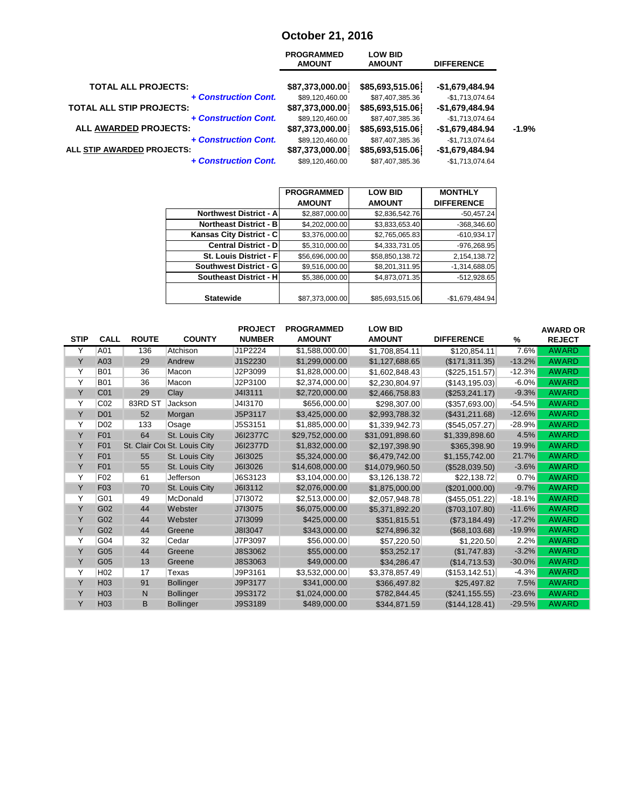## **October 21, 2016**

|                                   | <b>PROGRAMMED</b><br><b>AMOUNT</b> | <b>LOW BID</b><br><b>AMOUNT</b> | <b>DIFFERENCE</b> |         |
|-----------------------------------|------------------------------------|---------------------------------|-------------------|---------|
| <b>TOTAL ALL PROJECTS:</b>        | \$87,373,000.00                    | \$85,693,515.06                 | $-$1,679,484.94$  |         |
| + Construction Cont.              | \$89,120,460.00                    | \$87,407,385.36                 | $-$1,713,074.64$  |         |
| <b>TOTAL ALL STIP PROJECTS:</b>   | \$87,373,000.00                    | \$85,693,515.06                 | -\$1,679,484.94   |         |
| + Construction Cont.              | \$89,120,460.00                    | \$87,407,385.36                 | $-$1,713,074.64$  |         |
| <b>ALL AWARDED PROJECTS:</b>      | \$87,373,000.00                    | \$85,693,515.06                 | -\$1,679,484.94   | $-1.9%$ |
| + Construction Cont.              | \$89,120,460.00                    | \$87,407,385.36                 | $-$1,713,074.64$  |         |
| <b>ALL STIP AWARDED PROJECTS:</b> | \$87,373,000.00                    | \$85,693,515.06                 | $-$1,679,484.94$  |         |
| + Construction Cont.              | \$89,120,460.00                    | \$87,407,385.36                 | $-$1,713,074.64$  |         |

|                               | <b>PROGRAMMED</b> | <b>LOW BID</b>  | <b>MONTHLY</b>    |
|-------------------------------|-------------------|-----------------|-------------------|
|                               | <b>AMOUNT</b>     | <b>AMOUNT</b>   | <b>DIFFERENCE</b> |
| <b>Northwest District - A</b> | \$2,887,000.00    | \$2,836,542.76  | $-50,457.24$      |
| <b>Northeast District - B</b> | \$4,202,000.00    | \$3,833,653.40  | $-368,346.60$     |
| Kansas City District - C      | \$3,376,000.00    | \$2,765,065.83  | $-610,934.17$     |
| <b>Central District - D</b>   | \$5,310,000.00    | \$4,333,731.05  | $-976,268.95$     |
| St. Louis District - Fl       | \$56,696,000.00   | \$58,850,138.72 | 2,154,138.72      |
| <b>Southwest District - G</b> | \$9,516,000.00    | \$8,201,311.95  | $-1,314,688.05$   |
| <b>Southeast District - H</b> | \$5,386,000.00    | \$4,873,071.35  | $-512,928.65$     |
|                               |                   |                 |                   |
| <b>Statewide</b>              | \$87,373,000.00   | \$85,693,515.06 | $-$1,679,484.94$  |

|             |                  |              |                              | <b>PROJECT</b> | <b>PROGRAMMED</b> | <b>LOW BID</b>  |                   |          | <b>AWARD OR</b> |
|-------------|------------------|--------------|------------------------------|----------------|-------------------|-----------------|-------------------|----------|-----------------|
| <b>STIP</b> | <b>CALL</b>      | <b>ROUTE</b> | <b>COUNTY</b>                | <b>NUMBER</b>  | <b>AMOUNT</b>     | <b>AMOUNT</b>   | <b>DIFFERENCE</b> | %        | <b>REJECT</b>   |
| Y           | A01              | 136          | Atchison                     | J1P2224        | \$1.588.000.00    | \$1,708,854.11  | \$120,854.11      | 7.6%     | <b>AWARD</b>    |
| Y           | A03              | 29           | Andrew                       | J1S2230        | \$1,299,000.00    | \$1,127,688.65  | (\$171, 311.35)   | $-13.2%$ | <b>AWARD</b>    |
| Υ           | <b>B01</b>       | 36           | Macon                        | J2P3099        | \$1,828,000.00    | \$1,602,848.43  | (\$225, 151.57)   | $-12.3%$ | <b>AWARD</b>    |
| Y           | <b>B01</b>       | 36           | Macon                        | J2P3100        | \$2,374,000.00    | \$2,230,804.97  | (\$143, 195.03)   | $-6.0%$  | <b>AWARD</b>    |
| Y           | C <sub>01</sub>  | 29           | Clay                         | J4I3111        | \$2,720,000.00    | \$2,466,758.83  | (\$253, 241.17)   | $-9.3%$  | <b>AWARD</b>    |
| Y           | CO <sub>2</sub>  | 83RD ST      | Jackson                      | J4I3170        | \$656,000.00      | \$298,307.00    | (\$357,693.00)    | $-54.5%$ | <b>AWARD</b>    |
| Υ           | <b>D01</b>       | 52           | Morgan                       | J5P3117        | \$3,425,000.00    | \$2,993,788.32  | (\$431, 211.68)   | $-12.6%$ | <b>AWARD</b>    |
| Y           | D <sub>02</sub>  | 133          | Osage                        | J5S3151        | \$1,885,000.00    | \$1,339,942.73  | (\$545,057.27)    | $-28.9%$ | <b>AWARD</b>    |
| Y           | <b>F01</b>       | 64           | St. Louis City               | J6I2377C       | \$29,752,000.00   | \$31,091,898.60 | \$1,339,898.60    | 4.5%     | <b>AWARD</b>    |
| Y           | F <sub>01</sub>  |              | St. Clair Cot St. Louis City | J6I2377D       | \$1,832,000.00    | \$2,197,398.90  | \$365,398.90      | 19.9%    | <b>AWARD</b>    |
| Y           | <b>F01</b>       | 55           | St. Louis City               | J6I3025        | \$5,324,000.00    | \$6,479,742.00  | \$1.155.742.00    | 21.7%    | <b>AWARD</b>    |
| Y           | F <sub>0</sub> 1 | 55           | St. Louis City               | J6I3026        | \$14,608,000.00   | \$14,079,960.50 | (\$528,039.50)    | $-3.6%$  | <b>AWARD</b>    |
| Y           | F <sub>02</sub>  | 61           | Jefferson                    | J6S3123        | \$3.104.000.00    | \$3,126,138.72  | \$22,138.72       | 0.7%     | <b>AWARD</b>    |
| Y           | F <sub>03</sub>  | 70           | St. Louis City               | J6I3112        | \$2,076,000.00    | \$1,875,000.00  | (\$201,000.00)    | $-9.7%$  | <b>AWARD</b>    |
| Y           | G01              | 49           | McDonald                     | J713072        | \$2,513,000.00    | \$2,057,948.78  | (\$455,051.22)    | $-18.1%$ | <b>AWARD</b>    |
| Y           | G02              | 44           | Webster                      | J713075        | \$6,075,000.00    | \$5,371,892.20  | (\$703, 107.80)   | $-11.6%$ | <b>AWARD</b>    |
| Y           | G02              | 44           | Webster                      | J713099        | \$425,000.00      | \$351,815.51    | (\$73,184.49)     | $-17.2%$ | <b>AWARD</b>    |
| Y           | G02              | 44           | Greene                       | J8I3047        | \$343,000.00      | \$274,896.32    | (\$68,103.68)     | $-19.9%$ | <b>AWARD</b>    |
| Y           | G04              | 32           | Cedar                        | J7P3097        | \$56,000.00       | \$57,220.50     | \$1,220.50        | 2.2%     | <b>AWARD</b>    |
| Y           | G05              | 44           | Greene                       | J8S3062        | \$55,000.00       | \$53,252.17     | (\$1,747.83)      | $-3.2%$  | <b>AWARD</b>    |
| Y           | G05              | 13           | Greene                       | J8S3063        | \$49,000.00       | \$34,286.47     | (\$14,713.53)     | $-30.0%$ | <b>AWARD</b>    |
| Y           | H <sub>02</sub>  | 17           | Texas                        | J9P3161        | \$3,532,000.00    | \$3,378,857.49  | (\$153, 142.51)   | $-4.3%$  | <b>AWARD</b>    |
| Y           | H <sub>03</sub>  | 91           | <b>Bollinger</b>             | J9P3177        | \$341,000.00      | \$366,497.82    | \$25,497.82       | 7.5%     | <b>AWARD</b>    |
| Y           | H <sub>03</sub>  | N            | <b>Bollinger</b>             | J9S3172        | \$1,024,000.00    | \$782,844.45    | (S241.155.55)     | $-23.6%$ | <b>AWARD</b>    |
| Y           | H <sub>03</sub>  | B            | <b>Bollinger</b>             | J9S3189        | \$489,000.00      | \$344,871.59    | (\$144, 128.41)   | $-29.5%$ | <b>AWARD</b>    |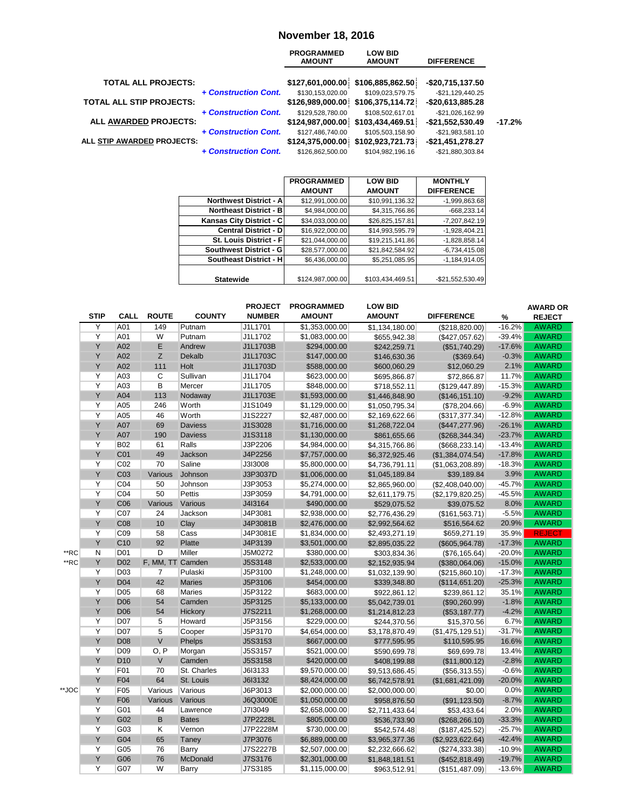#### **November 18, 2016**

|                            | <b>PROGRAMMED</b><br><b>AMOUNT</b> | <b>LOW BID</b><br><b>AMOUNT</b> | <b>DIFFERENCE</b>                                                                                                                                |
|----------------------------|------------------------------------|---------------------------------|--------------------------------------------------------------------------------------------------------------------------------------------------|
|                            |                                    |                                 | $-$20,715,137.50$                                                                                                                                |
| + Construction Cont.       | \$130,153,020.00                   | \$109.023.579.75                | -\$21.129.440.25                                                                                                                                 |
|                            |                                    |                                 | -\$20,613,885.28                                                                                                                                 |
| + Construction Cont.       | \$129,528,780.00                   | \$108,502,617.01                | $-$21,026,162.99$                                                                                                                                |
|                            |                                    |                                 | -\$21,552,530.49                                                                                                                                 |
| + Construction Cont.       | \$127,486,740.00                   | \$105,503,158.90                | $-$21,983,581.10$                                                                                                                                |
| ALL STIP AWARDED PROJECTS: |                                    |                                 | $-$21,451,278.27$                                                                                                                                |
| + Construction Cont.       | \$126.862.500.00                   | \$104.982.196.16                | -\$21,880,303.84                                                                                                                                 |
|                            |                                    |                                 | \$127,601,000.00 \$106,885,862.50<br>\$126,989,000.00 \$106,375,114.72<br>\$124,987,000.00 \$103,434,469.51<br>\$124,375,000.00 \$102,923,721.73 |

|                                | <b>PROGRAMMED</b> | <b>LOW BID</b>   | <b>MONTHLY</b>    |
|--------------------------------|-------------------|------------------|-------------------|
|                                | <b>AMOUNT</b>     | <b>AMOUNT</b>    | <b>DIFFERENCE</b> |
| <b>Northwest District - Al</b> | \$12,991,000.00   | \$10,991,136.32  | $-1,999,863.68$   |
| <b>Northeast District - B</b>  | \$4,984,000.00    | \$4,315,766.86   | $-668,233.14$     |
| Kansas City District - C       | \$34,033,000.00   | \$26,825,157.81  | -7,207,842.19     |
| <b>Central District - DI</b>   | \$16,922,000.00   | \$14,993,595.79  | $-1,928,404.21$   |
| St. Louis District - F         | \$21,044,000.00   | \$19,215,141.86  | $-1,828,858.14$   |
| Southwest District - G         | \$28,577,000.00   | \$21,842,584.92  | $-6,734,415.08$   |
| Southeast District - H         | \$6,436,000.00    | \$5,251,085.95   | $-1.184.914.05$   |
|                                |                   |                  |                   |
| <b>Statewide</b>               | \$124,987,000.00  | \$103,434,469.51 | -\$21,552,530.49  |

|       |             |                 |                  |                | <b>PROJECT</b> | <b>PROGRAMMED</b> | <b>LOW BID</b> |                   |          | <b>AWARD OR</b> |
|-------|-------------|-----------------|------------------|----------------|----------------|-------------------|----------------|-------------------|----------|-----------------|
|       | <b>STIP</b> | <b>CALL</b>     | <b>ROUTE</b>     | <b>COUNTY</b>  | <b>NUMBER</b>  | <b>AMOUNT</b>     | <b>AMOUNT</b>  | <b>DIFFERENCE</b> | %        | <b>REJECT</b>   |
|       | Ÿ           | A01             | 149              | Putnam         | J1L1701        | \$1,353,000.00    | \$1,134,180.00 | (\$218,820.00)    | $-16.2%$ | <b>AWARD</b>    |
|       | Ϋ           | A01             | W                | Putnam         | J1L1702        | \$1,083,000.00    | \$655,942.38   | (\$427,057.62)    | $-39.4%$ | <b>AWARD</b>    |
|       | Υ           | A02             | E                | Andrew         | J1L1703B       | \$294,000.00      | \$242,259.71   | (\$51,740.29)     | $-17.6%$ | <b>AWARD</b>    |
|       | Y           | A02             | Z                | <b>Dekalb</b>  | J1L1703C       | \$147,000.00      | \$146,630.36   | (\$369.64)        | $-0.3%$  | <b>AWARD</b>    |
|       | Υ           | A02             | 111              | Holt           | J1L1703D       | \$588,000.00      | \$600,060.29   | \$12,060.29       | 2.1%     | <b>AWARD</b>    |
|       | Ÿ           | A03             | C                | Sullivan       | J1L1704        | \$623,000.00      | \$695,866.87   | \$72,866.87       | 11.7%    | <b>AWARD</b>    |
|       | Υ           | A03             | B                | Mercer         | J1L1705        | \$848,000.00      | \$718,552.11   | (\$129,447.89)    | $-15.3%$ | <b>AWARD</b>    |
|       | Υ           | A04             | 113              | Nodaway        | J1L1703E       | \$1,593,000.00    | \$1,446,848.90 | (\$146, 151.10)   | $-9.2%$  | <b>AWARD</b>    |
|       | Υ           | A05             | 246              | Worth          | J1S1049        | \$1,129,000.00    | \$1,050,795.34 | (\$78,204.66)     | $-6.9%$  | <b>AWARD</b>    |
|       | Υ           | A05             | 46               | Worth          | J1S2227        | \$2,487,000.00    | \$2,169,622.66 | (\$317,377.34)    | $-12.8%$ | <b>AWARD</b>    |
|       | Υ           | A07             | 69               | <b>Daviess</b> | J1S3028        | \$1,716,000.00    | \$1,268,722.04 | (\$447, 277.96)   | $-26.1%$ | <b>AWARD</b>    |
|       | Y           | A07             | 190              | <b>Daviess</b> | J1S3118        | \$1,130,000.00    | \$861,655.66   | (\$268,344.34)    | $-23.7%$ | <b>AWARD</b>    |
|       | Υ           | <b>B02</b>      | 61               | Ralls          | J3P2206        | \$4,984,000.00    | \$4,315,766.86 | (\$668, 233.14)   | $-13.4%$ | <b>AWARD</b>    |
|       | Y           | CO <sub>1</sub> | 49               | <b>Jackson</b> | J4P2256        | \$7,757,000.00    | \$6,372,925.46 | (\$1,384,074.54)  | $-17.8%$ | <b>AWARD</b>    |
|       | Ÿ           | C02             | 70               | Saline         | J3I3008        | \$5,800,000.00    | \$4,736,791.11 | (\$1,063,208.89)  | $-18.3%$ | <b>AWARD</b>    |
|       | Υ           | C <sub>03</sub> | Various          | Johnson        | J3P3037D       | \$1,006,000.00    | \$1,045,189.84 | \$39,189.84       | 3.9%     | <b>AWARD</b>    |
|       | Υ           | CO <sub>4</sub> | 50               | Johnson        | J3P3053        | \$5,274,000.00    | \$2,865,960.00 | (\$2,408,040.00)  | $-45.7%$ | <b>AWARD</b>    |
|       | Υ           | CO <sub>4</sub> | 50               | <b>Pettis</b>  | J3P3059        | \$4,791,000.00    | \$2,611,179.75 | (\$2,179,820.25)  | $-45.5%$ | <b>AWARD</b>    |
|       | Υ           | C06             | Various          | Various        | J4I3164        | \$490,000.00      | \$529,075.52   | \$39,075.52       | 8.0%     | <b>AWARD</b>    |
|       | Υ           | C07             | 24               | Jackson        | J4P3081        | \$2,938,000.00    | \$2,776,436.29 | (\$161,563.71)    | $-5.5%$  | <b>AWARD</b>    |
|       | Υ           | C <sub>08</sub> | 10               | Clay           | J4P3081B       | \$2,476,000.00    | \$2,992,564.62 | \$516,564.62      | 20.9%    | <b>AWARD</b>    |
|       | Ÿ           | C <sub>09</sub> | 58               | Cass           | J4P3081E       | \$1,834,000.00    | \$2,493,271.19 | \$659,271.19      | 35.9%    | <b>REJECT</b>   |
|       | Υ           | C <sub>10</sub> | 92               | <b>Platte</b>  | J4P3139        | \$3,501,000.00    | \$2,895,035.22 | (\$605,964.78)    | $-17.3%$ | <b>AWARD</b>    |
| **RC  | N           | D01             | D                | Miller         | J5M0272        | \$380,000.00      | \$303,834.36   | (\$76, 165.64)    | $-20.0%$ | <b>AWARD</b>    |
| **RC  | Υ           | D <sub>02</sub> | F, MM, TT Camden |                | J5S3148        | \$2,533,000.00    | \$2,152,935.94 | (\$380,064.06)    | $-15.0%$ | <b>AWARD</b>    |
|       | Υ           | D03             | 7                | Pulaski        | J5P3100        | \$1,248,000.00    | \$1,032,139.90 | (\$215,860.10)    | $-17.3%$ | <b>AWARD</b>    |
|       | Υ           | D <sub>04</sub> | 42               | <b>Maries</b>  | J5P3106        | \$454,000.00      | \$339,348.80   | (\$114,651.20)    | $-25.3%$ | <b>AWARD</b>    |
|       | Υ           | D <sub>05</sub> | 68               | <b>Maries</b>  | J5P3122        | \$683,000.00      | \$922,861.12   | \$239,861.12      | 35.1%    | <b>AWARD</b>    |
|       | Υ           | D <sub>06</sub> | 54               | Camden         | J5P3125        | \$5,133,000.00    | \$5,042,739.01 | (\$90,260.99)     | $-1.8%$  | <b>AWARD</b>    |
|       | Y           | D <sub>06</sub> | 54               | Hickory        | J7S2211        | \$1,268,000.00    | \$1,214,812.23 | (\$53,187.77)     | $-4.2%$  | <b>AWARD</b>    |
|       | Ÿ           | D07             | 5                | Howard         | J5P3156        | \$229,000.00      | \$244,370.56   | \$15,370.56       | 6.7%     | <b>AWARD</b>    |
|       | Ÿ           | D07             | $\overline{5}$   | Cooper         | J5P3170        | \$4,654,000.00    | \$3,178,870.49 | (\$1,475,129.51)  | $-31.7%$ | <b>AWARD</b>    |
|       | Y           | D <sub>08</sub> | $\vee$           | Phelps         | J5S3153        | \$667,000.00      | \$777,595.95   | \$110,595.95      | 16.6%    | <b>AWARD</b>    |
|       | Υ           | D <sub>09</sub> | O, P             | Morgan         | J5S3157        | \$521,000.00      | \$590,699.78   | \$69,699.78       | 13.4%    | <b>AWARD</b>    |
|       | Υ           | D <sub>10</sub> | $\vee$           | Camden         | J5S3158        | \$420,000.00      | \$408,199.88   | (\$11,800.12)     | $-2.8%$  | <b>AWARD</b>    |
|       | Υ           | F01             | 70               | St. Charles    | J6I3133        | \$9,570,000.00    | \$9,513,686.45 | (\$56,313.55)     | $-0.6%$  | <b>AWARD</b>    |
|       | Y           | F04             | 64               | St. Louis      | J6I3132        | \$8,424,000.00    | \$6,742,578.91 | (\$1,681,421.09)  | $-20.0%$ | <b>AWARD</b>    |
| **JOC | Y           | F05             | Various          | Various        | J6P3013        | \$2,000,000.00    | \$2,000,000.00 | \$0.00            | 0.0%     | <b>AWARD</b>    |
|       | Υ           | F06             | <b>Various</b>   | Various        | J6Q3000E       | \$1,050,000.00    | \$958,876.50   | (\$91,123.50)     | $-8.7%$  | <b>AWARD</b>    |
|       | Ÿ           | G01             | 44               | Lawrence       | J7I3049        | \$2,658,000.00    | \$2,711,433.64 | \$53,433.64       | 2.0%     | <b>AWARD</b>    |
|       | Υ           | G02             | B                | <b>Bates</b>   | J7P2228L       | \$805,000.00      | \$536,733.90   | (\$268, 266.10)   | $-33.3%$ | <b>AWARD</b>    |
|       | Υ           | G03             | Κ                | Vernon         | J7P2228M       | \$730,000.00      | \$542,574.48   | (\$187, 425.52)   | $-25.7%$ | <b>AWARD</b>    |
|       | Υ           | G04             | 65               | Taney          | J7P3076        | \$6,889,000.00    | \$3,965,377.36 | (\$2,923,622.64)  | $-42.4%$ | <b>AWARD</b>    |
|       | Υ           | G05             | 76               | Barry          | J7S2227B       | \$2,507,000.00    | \$2,232,666.62 | (\$274,333.38)    | $-10.9%$ | <b>AWARD</b>    |
|       | Υ           | G06             | 76               | McDonald       | J7S3176        | \$2,301,000.00    | \$1,848,181.51 | (\$452,818.49)    | $-19.7%$ | <b>AWARD</b>    |
|       | Y           | G07             | W                | Barry          | J7S3185        | \$1,115,000.00    | \$963,512.91   | (\$151,487.09)    | $-13.6%$ | <b>AWARD</b>    |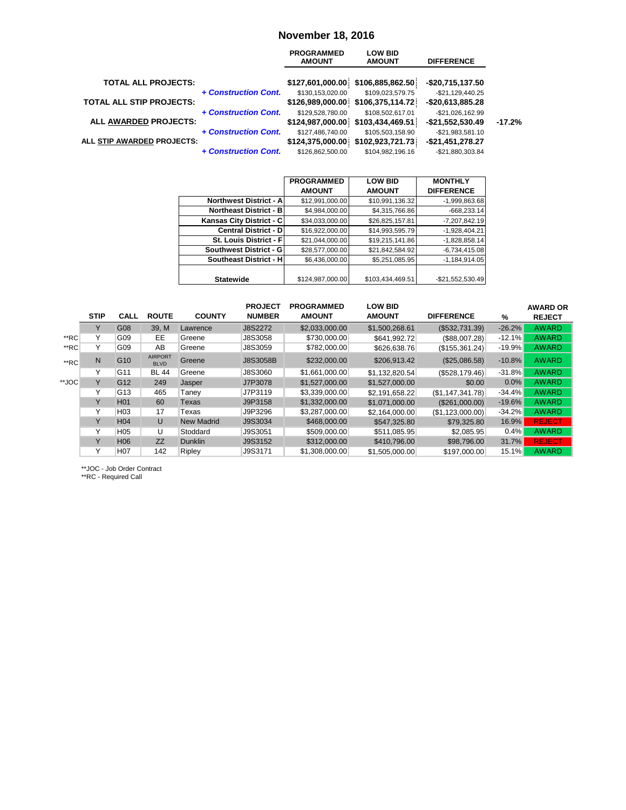#### **November 18, 2016**

|                                 |                      | <b>PROGRAMMED</b><br><b>AMOUNT</b> | <b>LOW BID</b><br><b>AMOUNT</b>   | <b>DIFFERENCE</b> |          |
|---------------------------------|----------------------|------------------------------------|-----------------------------------|-------------------|----------|
| <b>TOTAL ALL PROJECTS:</b>      |                      |                                    | \$127,601,000.00 \$106,885,862.50 | -\$20,715,137.50  |          |
|                                 | + Construction Cont. | \$130,153,020.00                   | \$109,023,579.75                  | $-$21,129,440.25$ |          |
| <b>TOTAL ALL STIP PROJECTS:</b> |                      |                                    | \$126,989,000.00 \$106,375,114.72 | $-$20,613,885.28$ |          |
|                                 | + Construction Cont. | \$129,528,780.00                   | \$108,502,617.01                  | $-$21,026,162.99$ |          |
| ALL AWARDED PROJECTS:           |                      |                                    | \$124,987,000.00 \$103,434,469.51 | -\$21,552,530.49  | $-17.2%$ |
|                                 | + Construction Cont. | \$127.486.740.00                   | \$105,503,158.90                  | $-$21,983,581.10$ |          |
| ALL STIP AWARDED PROJECTS:      |                      |                                    | \$124,375,000.00 \$102,923,721.73 | -\$21,451,278.27  |          |
|                                 | + Construction Cont. | \$126,862,500.00                   | \$104.982.196.16                  | -\$21.880.303.84  |          |
|                                 |                      |                                    |                                   |                   |          |

|                               | <b>PROGRAMMED</b> | <b>LOW BID</b>   | <b>MONTHLY</b>    |
|-------------------------------|-------------------|------------------|-------------------|
|                               | <b>AMOUNT</b>     | <b>AMOUNT</b>    | <b>DIFFERENCE</b> |
| <b>Northwest District - A</b> | \$12,991,000.00   | \$10,991,136.32  | $-1,999,863.68$   |
| <b>Northeast District - B</b> | \$4,984,000.00    | \$4,315,766.86   | $-668,233.14$     |
| Kansas City District - C      | \$34,033,000.00   | \$26,825,157.81  | -7,207,842.19     |
| <b>Central District - DI</b>  | \$16,922,000.00   | \$14,993,595.79  | $-1,928,404.21$   |
| St. Louis District - Fl       | \$21,044,000.00   | \$19,215,141.86  | $-1,828,858.14$   |
| Southwest District - G        | \$28,577,000.00   | \$21,842,584.92  | $-6,734,415.08$   |
| Southeast District - H        | \$6,436,000.00    | \$5,251,085.95   | $-1,184,914.05$   |
|                               |                   |                  |                   |
| <b>Statewide</b>              | \$124,987,000.00  | \$103,434,469.51 | -\$21,552,530.49  |

|       |              |                 |                               |                   | <b>PROJECT</b> | <b>PROGRAMMED</b> | <b>LOW BID</b> |                   |          | <b>AWARD OR</b> |
|-------|--------------|-----------------|-------------------------------|-------------------|----------------|-------------------|----------------|-------------------|----------|-----------------|
|       | <b>STIP</b>  | <b>CALL</b>     | <b>ROUTE</b>                  | <b>COUNTY</b>     | <b>NUMBER</b>  | <b>AMOUNT</b>     | <b>AMOUNT</b>  | <b>DIFFERENCE</b> | %        | <b>REJECT</b>   |
|       |              | G08             | 39, M                         | Lawrence          | J8S2272        | \$2,033,000.00    | \$1,500,268.61 | (\$532,731.39)    | $-26.2%$ | <b>AWARD</b>    |
| **RC  | v            | G09             | EE.                           | Greene            | J8S3058        | \$730,000.00      | \$641,992.72   | (\$88,007.28)     | $-12.1%$ | <b>AWARD</b>    |
| **RC  | ٧            | G09             | AB                            | Greene            | J8S3059        | \$782,000.00      | \$626,638.76   | (\$155,361.24)    | $-19.9%$ | <b>AWARD</b>    |
| **RC  | N            | G <sub>10</sub> | <b>AIRPORT</b><br><b>BLVD</b> | Greene            | J8S3058B       | \$232,000.00      | \$206,913.42   | (\$25,086.58)     | $-10.8%$ | <b>AWARD</b>    |
|       | $\checkmark$ | G11             | <b>BL 44</b>                  | Greene            | J8S3060        | \$1,661,000.00    | \$1.132.820.54 | (\$528,179.46)    | $-31.8%$ | <b>AWARD</b>    |
| **JOC | Y            | G <sub>12</sub> | 249                           | Jasper            | J7P3078        | \$1,527,000.00    | \$1,527,000.00 | \$0.00            | $0.0\%$  | <b>AWARD</b>    |
|       | ٧            | G13             | 465                           | Taney             | J7P3119        | \$3,339,000.00    | \$2,191,658.22 | (S1, 147, 341.78) | $-34.4%$ | <b>AWARD</b>    |
|       | Υ            | H <sub>01</sub> | 60                            | Texas             | J9P3158        | \$1,332,000.00    | \$1.071.000.00 | (S261.000.00)     | $-19.6%$ | <b>AWARD</b>    |
|       | Υ            | H03             | 17                            | Texas             | J9P3296        | \$3,287,000.00    | \$2,164,000.00 | (S1, 123, 000.00) | $-34.2%$ | <b>AWARD</b>    |
|       | Y            | H <sub>04</sub> | U                             | <b>New Madrid</b> | J9S3034        | \$468,000.00      | \$547,325.80   | \$79,325.80       | 16.9%    | <b>REJECT</b>   |
|       | Y            | H <sub>05</sub> | U                             | Stoddard          | J9S3051        | \$509,000.00      | \$511.085.95   | \$2,085.95        | 0.4%     | <b>AWARD</b>    |
|       | Y            | H <sub>06</sub> | ZZ                            | <b>Dunklin</b>    | J9S3152        | \$312,000.00      | \$410,796,00   | \$98,796.00       | 31.7%    | <b>REJECT</b>   |
|       | Υ            | H <sub>07</sub> | 142                           | Ripley            | J9S3171        | \$1,308,000.00    | \$1.505.000.00 | \$197.000.00      | 15.1%    | <b>AWARD</b>    |
|       |              |                 |                               |                   |                |                   |                |                   |          |                 |

\*\*JOC - Job Order Contract

\*\*RC - Required Call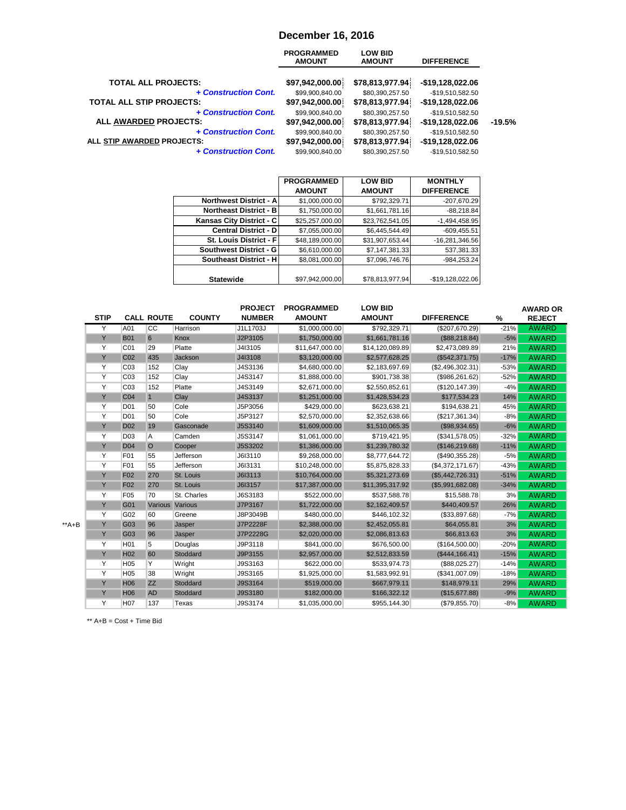#### **December 16, 2016**

|                                 | <b>PROGRAMMED</b><br><b>AMOUNT</b> | <b>LOW BID</b><br><b>AMOUNT</b> | <b>DIFFERENCE</b> |          |
|---------------------------------|------------------------------------|---------------------------------|-------------------|----------|
| <b>TOTAL ALL PROJECTS:</b>      | \$97,942,000.00                    | \$78,813,977.94                 | $-$19,128,022.06$ |          |
| + Construction Cont.            | \$99,900,840.00                    | \$80,390,257.50                 | -\$19,510,582.50  |          |
| <b>TOTAL ALL STIP PROJECTS:</b> | \$97,942,000.00                    | \$78,813,977.94                 | -\$19,128,022.06  |          |
| + Construction Cont.            | \$99,900,840.00                    | \$80,390,257.50                 | -\$19,510,582.50  | $-19.5%$ |
| <b>ALL AWARDED PROJECTS:</b>    | \$97,942,000.00                    | \$78,813,977.94                 | -\$19,128,022.06  |          |
| + Construction Cont.            | \$99,900,840.00                    | \$80,390,257.50                 | -\$19,510,582.50  |          |
| ALL STIP AWARDED PROJECTS:      | \$97,942,000.00                    | \$78,813,977.94                 | -\$19,128,022.06  |          |
| + Construction Cont.            | \$99.900.840.00                    | \$80.390.257.50                 | -\$19.510.582.50  |          |

|                                | <b>PROGRAMMED</b> | <b>LOW BID</b>  | <b>MONTHLY</b>    |
|--------------------------------|-------------------|-----------------|-------------------|
|                                | <b>AMOUNT</b>     | <b>AMOUNT</b>   | <b>DIFFERENCE</b> |
| <b>Northwest District - Al</b> | \$1,000,000.00    | \$792,329.71    | -207,670.29       |
| <b>Northeast District - B</b>  | \$1,750,000.00    | \$1,661,781.16  | $-88,218.84$      |
| Kansas City District - C       | \$25,257,000.00   | \$23,762,541.05 | $-1,494,458.95$   |
| <b>Central District - D</b>    | \$7,055,000.00    | \$6,445,544.49  | $-609,455.51$     |
| St. Louis District - Fl        | \$48,189,000.00   | \$31,907,653.44 | $-16,281,346.56$  |
| Southwest District - G         | \$6,610,000.00    | \$7,147,381.33  | 537,381.33        |
| <b>Southeast District - HI</b> | \$8,081,000.00    | \$7.096.746.76  | -984.253.24       |
|                                |                   |                 |                   |
| <b>Statewide</b>               | \$97,942,000.00   | \$78,813,977.94 | $-$19,128,022.06$ |

|       |             |                 |                   |               | <b>PROJECT</b> | <b>PROGRAMMED</b> | <b>LOW BID</b>  |                   |        | <b>AWARD OR</b> |
|-------|-------------|-----------------|-------------------|---------------|----------------|-------------------|-----------------|-------------------|--------|-----------------|
|       | <b>STIP</b> |                 | <b>CALL ROUTE</b> | <b>COUNTY</b> | <b>NUMBER</b>  | <b>AMOUNT</b>     | <b>AMOUNT</b>   | <b>DIFFERENCE</b> | %      | <b>REJECT</b>   |
|       | Y           | A01             | $\overline{cc}$   | Harrison      | J1L1703J       | \$1,000,000.00    | \$792,329.71    | (\$207,670.29)    | $-21%$ | <b>AWARD</b>    |
|       | Y           | <b>B01</b>      | $6\phantom{.}$    | Knox          | J2P3105        | \$1,750,000.00    | \$1,661,781.16  | (\$88, 218.84)    | $-5%$  | <b>AWARD</b>    |
|       | Y           | C01             | 29                | Platte        | J4I3105        | \$11,647,000.00   | \$14,120,089.89 | \$2,473,089.89    | 21%    | <b>AWARD</b>    |
|       | Y           | C <sub>02</sub> | 435               | Jackson       | J4I3108        | \$3,120,000.00    | \$2,577,628.25  | (\$542,371.75)    | $-17%$ | <b>AWARD</b>    |
|       | Y           | CO <sub>3</sub> | 152               | Clay          | J4S3136        | \$4,680,000.00    | \$2,183,697.69  | (\$2,496,302.31)  | $-53%$ | <b>AWARD</b>    |
|       | Y           | CO <sub>3</sub> | 152               | Clay          | J4S3147        | \$1,888,000.00    | \$901,738.38    | (\$986, 261.62)   | $-52%$ | <b>AWARD</b>    |
|       | Y           | CO <sub>3</sub> | 152               | Platte        | J4S3149        | \$2,671,000.00    | \$2,550,852.61  | (\$120, 147.39)   | $-4%$  | <b>AWARD</b>    |
|       | Y           | CO <sub>4</sub> | $\overline{1}$    | Clay          | J4S3137        | \$1,251,000.00    | \$1,428,534.23  | \$177,534.23      | 14%    | <b>AWARD</b>    |
|       | Y           | D <sub>01</sub> | 50                | Cole          | J5P3056        | \$429,000.00      | \$623,638.21    | \$194,638.21      | 45%    | <b>AWARD</b>    |
|       | Y           | D <sub>01</sub> | 50                | Cole          | J5P3127        | \$2,570,000.00    | \$2,352,638.66  | (\$217,361.34)    | $-8%$  | <b>AWARD</b>    |
|       | Y           | <b>D02</b>      | 19                | Gasconade     | J5S3140        | \$1,609,000.00    | \$1,510,065.35  | (\$98,934.65)     | $-6%$  | <b>AWARD</b>    |
|       | Υ           | D <sub>03</sub> | A                 | Camden        | J5S3147        | \$1,061,000.00    | \$719,421.95    | (\$341,578.05)    | $-32%$ | <b>AWARD</b>    |
|       | Y           | <b>D04</b>      | $\circ$           | Cooper        | J5S3202        | \$1,386,000.00    | \$1,239,780.32  | (\$146, 219.68)   | $-11%$ | <b>AWARD</b>    |
|       | Y           | F01             | 55                | Jefferson     | J6I3110        | \$9,268,000.00    | \$8,777,644.72  | (\$490,355.28)    | $-5%$  | <b>AWARD</b>    |
|       | Y           | F01             | 55                | Jefferson     | J6I3131        | \$10,248,000.00   | \$5,875,828.33  | (\$4,372,171.67)  | $-43%$ | <b>AWARD</b>    |
|       | Y           | F <sub>02</sub> | 270               | St. Louis     | J6I3113        | \$10,764,000.00   | \$5,321,273.69  | (\$5,442,726.31)  | $-51%$ | <b>AWARD</b>    |
|       | Y           | <b>F02</b>      | 270               | St. Louis     | J6I3157        | \$17,387,000.00   | \$11,395,317.92 | (\$5,991,682.08)  | $-34%$ | <b>AWARD</b>    |
|       | Υ           | F <sub>05</sub> | 70                | St. Charles   | J6S3183        | \$522,000.00      | \$537,588.78    | \$15,588.78       | 3%     | <b>AWARD</b>    |
|       | Y           | G01             | <b>Various</b>    | Various       | J7P3167        | \$1,722,000.00    | \$2,162,409.57  | \$440,409.57      | 26%    | <b>AWARD</b>    |
|       | Y           | G02             | 60                | Greene        | J8P3049B       | \$480,000.00      | \$446,102.32    | (\$33,897.68)     | $-7%$  | <b>AWARD</b>    |
| **A+B | Υ           | G03             | 96                | Jasper        | J7P2228F       | \$2,388,000.00    | \$2,452,055.81  | \$64,055.81       | 3%     | <b>AWARD</b>    |
|       | Y           | G03             | 96                | Jasper        | J7P2228G       | \$2,020,000.00    | \$2,086,813.63  | \$66,813.63       | 3%     | <b>AWARD</b>    |
|       | Y           | H <sub>01</sub> | 5                 | Douglas       | J9P3118        | \$841,000.00      | \$676,500.00    | (\$164,500.00)    | $-20%$ | <b>AWARD</b>    |
|       | Y           | <b>H02</b>      | 60                | Stoddard      | J9P3155        | \$2,957,000.00    | \$2,512,833.59  | (\$444, 166.41)   | $-15%$ | <b>AWARD</b>    |
|       | Y           | H <sub>05</sub> | Y                 | Wright        | J9S3163        | \$622,000.00      | \$533,974.73    | (\$88,025.27)     | $-14%$ | <b>AWARD</b>    |
|       | Y           | H <sub>05</sub> | 38                | Wright        | J9S3165        | \$1,925,000.00    | \$1,583,992.91  | (\$341,007.09)    | $-18%$ | <b>AWARD</b>    |
|       | Y           | <b>H06</b>      | <b>ZZ</b>         | Stoddard      | J9S3164        | \$519,000.00      | \$667,979.11    | \$148,979.11      | 29%    | <b>AWARD</b>    |
|       | Y           | H06             | <b>AD</b>         | Stoddard      | J9S3180        | \$182,000.00      | \$166,322.12    | (\$15,677.88)     | $-9%$  | <b>AWARD</b>    |
|       | Y           | <b>H07</b>      | 137               | Texas         | J9S3174        | \$1,035,000.00    | \$955,144.30    | (\$79,855.70)     | $-8%$  | <b>AWARD</b>    |

\*\* A+B = Cost + Time Bid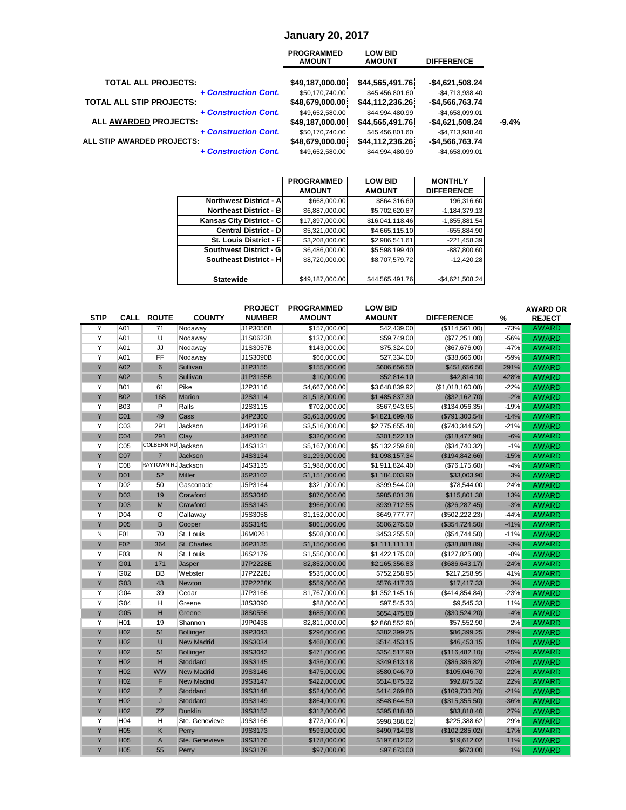#### **January 20, 2017**

|                                                      | <b>PROGRAMMED</b><br><b>AMOUNT</b> | <b>LOW BID</b><br><b>AMOUNT</b>    | <b>DIFFERENCE</b>                    |         |
|------------------------------------------------------|------------------------------------|------------------------------------|--------------------------------------|---------|
| <b>TOTAL ALL PROJECTS:</b>                           | \$49,187,000.00                    | \$44,565,491.76                    | $-$4,621,508.24$                     |         |
| + Construction Cont.                                 | \$50,170,740.00                    | \$45,456,801.60                    | $-$4,713,938.40$                     |         |
| <b>TOTAL ALL STIP PROJECTS:</b>                      | \$48,679,000.00                    | \$44,112,236.26                    | $-$4,566,763.74$                     |         |
| + Construction Cont.<br><b>ALL AWARDED PROJECTS:</b> | \$49,652,580.00<br>\$49,187,000.00 | \$44,994,480.99<br>\$44,565,491.76 | $-$4,658,099.01$<br>$-$4,621,508.24$ | $-9.4%$ |
| + Construction Cont.<br>ALL STIP AWARDED PROJECTS:   | \$50,170,740.00<br>\$48,679,000.00 | \$45,456,801.60<br>\$44,112,236.26 | $-$4,713,938.40$<br>$-$4,566,763.74$ |         |
| + Construction Cont.                                 | \$49.652,580.00                    | \$44.994.480.99                    | $-$4.658.099.01$                     |         |

|                                | <b>PROGRAMMED</b> | <b>LOW BID</b>  | <b>MONTHLY</b>    |
|--------------------------------|-------------------|-----------------|-------------------|
|                                | <b>AMOUNT</b>     | <b>AMOUNT</b>   | <b>DIFFERENCE</b> |
| <b>Northwest District - Al</b> | \$668,000.00      | \$864,316.60    | 196,316.60        |
| <b>Northeast District - B</b>  | \$6,887,000.00    | \$5,702,620.87  | $-1,184,379.13$   |
| Kansas City District - C       | \$17,897,000.00   | \$16,041,118.46 | $-1,855,881.54$   |
| <b>Central District - DI</b>   | \$5,321,000.00    | \$4,665,115.10  | $-655,884.90$     |
| St. Louis District - Fl        | \$3,208,000.00    | \$2,986,541.61  | $-221,458.39$     |
| Southwest District - G         | \$6,486,000.00    | \$5,598,199.40  | -887,800.60       |
| Southeast District - H         | \$8,720,000.00    | \$8,707,579.72  | $-12.420.28$      |
|                                |                   |                 |                   |
| <b>Statewide</b>               | \$49,187,000.00   | \$44,565,491.76 | $-$4,621,508.24$  |

|             |                 |                    |                   | <b>PROJECT</b> | <b>PROGRAMMED</b> | <b>LOW BID</b> |                   |        | <b>AWARD OR</b> |
|-------------|-----------------|--------------------|-------------------|----------------|-------------------|----------------|-------------------|--------|-----------------|
| <b>STIP</b> | <b>CALL</b>     | <b>ROUTE</b>       | <b>COUNTY</b>     | <b>NUMBER</b>  | <b>AMOUNT</b>     | <b>AMOUNT</b>  | <b>DIFFERENCE</b> | %      | <b>REJECT</b>   |
| Y           | A01             | $\overline{71}$    | Nodaway           | J1P3056B       | \$157,000.00      | \$42,439.00    | (\$114,561.00)    | $-73%$ | <b>AWARD</b>    |
| Υ           | A01             | U                  | Nodaway           | J1S0623B       | \$137,000.00      | \$59,749.00    | (\$77,251.00)     | -56%   | <b>AWARD</b>    |
| Y           | A01             | JJ                 | Nodaway           | J1S3057B       | \$143,000.00      | \$75,324.00    | (\$67,676.00)     | $-47%$ | <b>AWARD</b>    |
| Y           | A01             | FF                 | Nodaway           | J1S3090B       | \$66,000.00       | \$27,334.00    | (\$38,666.00)     | $-59%$ | <b>AWARD</b>    |
| Y           | A02             | $6\phantom{1}$     | Sullivan          | J1P3155        | \$155,000.00      | \$606,656.50   | \$451,656.50      | 291%   | <b>AWARD</b>    |
| Y           | A02             | 5                  | Sullivan          | J1P3155B       | \$10,000.00       | \$52,814.10    | \$42,814.10       | 428%   | <b>AWARD</b>    |
| Y           | <b>B01</b>      | 61                 | Pike              | J2P3116        | \$4,667,000.00    | \$3,648,839.92 | (\$1,018,160.08)  | $-22%$ | <b>AWARD</b>    |
| Y           | <b>B02</b>      | 168                | Marion            | J2S3114        | \$1,518,000.00    | \$1,485,837.30 | (\$32,162.70)     | $-2%$  | <b>AWARD</b>    |
| Y           | <b>B03</b>      | P                  | Ralls             | J2S3115        | \$702,000.00      | \$567,943.65   | (\$134,056.35)    | $-19%$ | <b>AWARD</b>    |
| Y           | C01             | 49                 | Cass              | J4P2360        | \$5,613,000.00    | \$4,821,699.46 | (\$791,300.54)    | $-14%$ | <b>AWARD</b>    |
| Y           | C <sub>03</sub> | 291                | Jackson           | J4P3128        | \$3,516,000.00    | \$2,775,655.48 | (\$740,344.52)    | $-21%$ | <b>AWARD</b>    |
| Υ           | CO <sub>4</sub> | 291                | Clay              | J4P3166        | \$320,000.00      | \$301,522.10   | (\$18,477.90)     | $-6%$  | <b>AWARD</b>    |
| Y           | CO <sub>5</sub> | COLBERN RD Jackson |                   | J4S3131        | \$5,167,000.00    | \$5,132,259.68 | (\$34,740.32)     | $-1%$  | <b>AWARD</b>    |
| Y           | C07             | $\overline{7}$     | Jackson           | J4S3134        | \$1,293,000.00    | \$1,098,157.34 | (\$194, 842.66)   | $-15%$ | <b>AWARD</b>    |
| Y           | C <sub>08</sub> | RAYTOWN RD Jackson |                   | J4S3135        | \$1,988,000.00    | \$1,911,824.40 | (\$76,175.60)     | $-4%$  | <b>AWARD</b>    |
| Y           | <b>D01</b>      | 52                 | <b>Miller</b>     | J5P3102        | \$1,151,000.00    | \$1,184,003.90 | \$33,003.90       | 3%     | <b>AWARD</b>    |
| Υ           | D <sub>02</sub> | 50                 | Gasconade         | J5P3164        | \$321,000.00      | \$399,544.00   | \$78,544.00       | 24%    | <b>AWARD</b>    |
| Y           | <b>D03</b>      | 19                 | Crawford          | J5S3040        | \$870,000.00      | \$985,801.38   | \$115,801.38      | 13%    | <b>AWARD</b>    |
| Y           | <b>D03</b>      | M                  | Crawford          | J5S3143        | \$966,000.00      | \$939,712.55   | (\$26, 287.45)    | $-3%$  | <b>AWARD</b>    |
| Y           | D <sub>04</sub> | $\circ$            | Callaway          | J5S3058        | \$1,152,000.00    | \$649,777.77   | (\$502, 222.23)   | $-44%$ | <b>AWARD</b>    |
| Y           | <b>D05</b>      | B                  | Cooper            | J5S3145        | \$861,000.00      | \$506,275.50   | (\$354,724.50)    | $-41%$ | <b>AWARD</b>    |
| N           | F01             | 70                 | St. Louis         | J6M0261        | \$508,000.00      | \$453,255.50   | (\$54,744.50)     | $-11%$ | <b>AWARD</b>    |
| Y           | F <sub>02</sub> | 364                | St. Charles       | J6P3135        | \$1,150,000.00    | \$1,111,111.11 | (\$38,888.89)     | $-3%$  | <b>AWARD</b>    |
| Y           | F <sub>03</sub> | N                  | St. Louis         | J6S2179        | \$1,550,000.00    | \$1,422,175.00 | (\$127,825.00)    | $-8%$  | <b>AWARD</b>    |
| Y           | G01             | 171                | Jasper            | J7P2228E       | \$2,852,000.00    | \$2,165,356.83 | (\$686, 643.17)   | $-24%$ | <b>AWARD</b>    |
| Y           | G02             | <b>BB</b>          | Webster           | J7P2228J       | \$535,000.00      | \$752,258.95   | \$217,258.95      | 41%    | <b>AWARD</b>    |
| Y           | G03             | 43                 | Newton            | J7P2228K       | \$559,000.00      | \$576,417.33   | \$17,417.33       | 3%     | <b>AWARD</b>    |
| Y           | G04             | 39                 | Cedar             | J7P3166        | \$1,767,000.00    | \$1,352,145.16 | (\$414,854.84)    | $-23%$ | <b>AWARD</b>    |
| Y           | G04             | Η                  | Greene            | J8S3090        | \$88,000.00       | \$97,545.33    | \$9,545.33        | 11%    | <b>AWARD</b>    |
| Y           | G05             | Н                  | Greene            | <b>J8S0556</b> | \$685,000.00      | \$654,475.80   | (\$30,524.20)     | $-4%$  | <b>AWARD</b>    |
| Y           | H <sub>01</sub> | 19                 | Shannon           | J9P0438        | \$2,811,000.00    | \$2,868,552.90 | \$57,552.90       | 2%     | <b>AWARD</b>    |
| Y           | H <sub>02</sub> | 51                 | <b>Bollinger</b>  | J9P3043        | \$296,000.00      | \$382,399.25   | \$86,399.25       | 29%    | <b>AWARD</b>    |
| Y           | H <sub>02</sub> | $\cup$             | <b>New Madrid</b> | J9S3034        | \$468,000.00      | \$514,453.15   | \$46,453.15       | 10%    | <b>AWARD</b>    |
| Y           | H <sub>02</sub> | 51                 | <b>Bollinger</b>  | J9S3042        | \$471,000.00      | \$354,517.90   | (\$116,482.10)    | $-25%$ | <b>AWARD</b>    |
| Υ           | H <sub>02</sub> | H                  | Stoddard          | J9S3145        | \$436,000.00      | \$349,613.18   | (\$86,386.82)     | $-20%$ | <b>AWARD</b>    |
| Y           | H <sub>02</sub> | <b>WW</b>          | <b>New Madrid</b> | J9S3146        | \$475,000.00      | \$580,046.70   | \$105,046.70      | 22%    | <b>AWARD</b>    |
| Y           | H <sub>02</sub> | F                  | <b>New Madrid</b> | <b>J9S3147</b> | \$422,000.00      | \$514,875.32   | \$92,875.32       | 22%    | <b>AWARD</b>    |
| Y           | H <sub>02</sub> | Z                  | Stoddard          | J9S3148        | \$524,000.00      | \$414,269.80   | (\$109,730.20)    | $-21%$ | <b>AWARD</b>    |
| Y           | H <sub>02</sub> | $\mathsf{J}$       | Stoddard          | J9S3149        | \$864,000.00      | \$548,644.50   | (\$315,355.50)    | $-36%$ | <b>AWARD</b>    |
| Υ           | H <sub>02</sub> | <b>ZZ</b>          | Dunklin           | J9S3152        | \$312,000.00      | \$395,818.40   | \$83,818.40       | 27%    | <b>AWARD</b>    |
| Υ           | H04             | н                  | Ste. Genevieve    | J9S3166        | \$773,000.00      | \$998,388.62   | \$225,388.62      | 29%    | <b>AWARD</b>    |
| Y           | <b>H05</b>      | Κ                  | Perry             | J9S3173        | \$593,000.00      | \$490,714.98   | (\$102, 285.02)   | $-17%$ | <b>AWARD</b>    |
| Υ           | H <sub>05</sub> | $\overline{A}$     | Ste. Genevieve    | <b>J9S3176</b> | \$178,000.00      | \$197,612.02   | \$19,612.02       | 11%    | <b>AWARD</b>    |
| Y           | H <sub>05</sub> | 55                 | Perry             | <b>J9S3178</b> | \$97,000.00       | \$97,673.00    | \$673.00          | 1%     | <b>AWARD</b>    |
|             |                 |                    |                   |                |                   |                |                   |        |                 |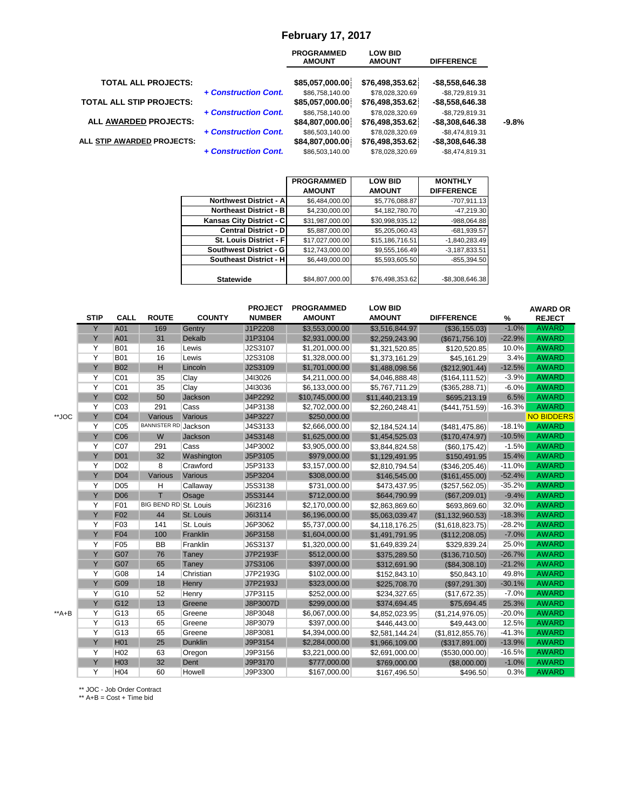#### **February 17, 2017**

|                                 |                      | <b>PROGRAMMED</b><br><b>AMOUNT</b> | <b>LOW BID</b><br><b>AMOUNT</b> | <b>DIFFERENCE</b> |         |
|---------------------------------|----------------------|------------------------------------|---------------------------------|-------------------|---------|
| <b>TOTAL ALL PROJECTS:</b>      |                      | \$85,057,000.00                    | \$76,498,353.62                 | $-$8,558,646.38$  |         |
|                                 | + Construction Cont. | \$86,758,140.00                    | \$78,028,320.69                 | $-$8,729,819.31$  |         |
| <b>TOTAL ALL STIP PROJECTS:</b> |                      | \$85,057,000.00                    | \$76,498,353.62                 | $-$8,558,646.38$  |         |
|                                 | + Construction Cont. | \$86,758,140.00                    | \$78,028,320.69                 | $-$8,729,819.31$  |         |
| ALL AWARDED PROJECTS:           |                      | \$84,807,000.00                    | \$76,498,353.62                 | $-$8,308,646.38$  | $-9.8%$ |
|                                 | + Construction Cont. | \$86,503,140.00                    | \$78,028,320.69                 | $-$8,474,819.31$  |         |
| ALL STIP AWARDED PROJECTS:      |                      | \$84,807,000.00                    | \$76,498,353.62                 | $-$8,308,646.38$  |         |
|                                 | + Construction Cont. | \$86,503,140.00                    | \$78,028,320.69                 | $-$8,474,819.31$  |         |
|                                 |                      |                                    |                                 |                   |         |

|                                | <b>PROGRAMMED</b> | <b>LOW BID</b>  | <b>MONTHLY</b>    |
|--------------------------------|-------------------|-----------------|-------------------|
|                                | <b>AMOUNT</b>     | <b>AMOUNT</b>   | <b>DIFFERENCE</b> |
| <b>Northwest District - Al</b> | \$6,484,000.00    | \$5,776,088.87  | $-707,911.13$     |
| <b>Northeast District - B</b>  | \$4,230,000.00    | \$4,182,780.70  | $-47,219.30$      |
| Kansas City District - C       | \$31,987,000.00   | \$30,998,935.12 | -988,064.88       |
| <b>Central District - D</b>    | \$5,887,000.00    | \$5,205,060.43  | $-681,939.57$     |
| St. Louis District - Fl        | \$17,027,000.00   | \$15,186,716.51 | $-1,840,283.49$   |
| Southwest District - G         | \$12.743.000.00   | \$9,555,166.49  | $-3.187.833.51$   |
| Southeast District - H         | \$6,449,000.00    | \$5,593,605.50  | $-855,394.50$     |
|                                |                   |                 |                   |
| <b>Statewide</b>               | \$84,807,000.00   | \$76,498,353.62 | -\$8,308,646.38   |

|       | <b>STIP</b>    | <b>CALL</b>     | <b>ROUTE</b>                | <b>COUNTY</b>  | <b>PROJECT</b><br><b>NUMBER</b> | <b>PROGRAMMED</b><br><b>AMOUNT</b> | <b>LOW BID</b><br><b>AMOUNT</b> | <b>DIFFERENCE</b> | %        | <b>AWARD OR</b><br><b>REJECT</b> |
|-------|----------------|-----------------|-----------------------------|----------------|---------------------------------|------------------------------------|---------------------------------|-------------------|----------|----------------------------------|
|       | Y              | A01             | 169                         | Gentry         | J1P2208                         | \$3,553,000.00                     | \$3,516,844.97                  | (\$36,155.03)     | $-1.0%$  | <b>AWARD</b>                     |
|       | Y              | A01             | 31                          | Dekalb         | J1P3104                         | \$2,931,000.00                     | \$2,259,243.90                  | (S671,756.10)     | $-22.9%$ | <b>AWARD</b>                     |
|       | Y              | <b>B01</b>      | 16                          | Lewis          | J2S3107                         | \$1,201,000.00                     | \$1,321,520.85                  | \$120,520.85      | 10.0%    | <b>AWARD</b>                     |
|       | Y              | <b>B01</b>      | 16                          | Lewis          | J2S3108                         | \$1,328,000.00                     | \$1,373,161.29                  | \$45,161.29       | 3.4%     | <b>AWARD</b>                     |
|       | Y              | <b>B02</b>      | н                           | Lincoln        | J2S3109                         | \$1,701,000.00                     | \$1,488,098.56                  | (\$212,901.44)    | $-12.5%$ | <b>AWARD</b>                     |
|       | Y              | C <sub>01</sub> | 35                          | Clay           | J4I3026                         | \$4,211,000.00                     | \$4,046,888.48                  | (\$164, 111.52)   | $-3.9%$  | <b>AWARD</b>                     |
|       | $\overline{Y}$ | CO <sub>1</sub> | 35                          | Clay           | J4I3036                         | \$6,133,000.00                     | \$5,767,711.29                  | (\$365, 288.71)   | $-6.0%$  | <b>AWARD</b>                     |
|       | Y              | C <sub>02</sub> | 50                          | Jackson        | J4P2292                         | \$10,745,000.00                    | \$11,440,213.19                 | \$695,213.19      | 6.5%     | <b>AWARD</b>                     |
|       | Y              | C <sub>03</sub> | 291                         | Cass           | J4P3138                         | \$2,702,000.00                     | \$2,260,248.41                  | (S441, 751.59)    | $-16.3%$ | <b>AWARD</b>                     |
| **JOC | Y              | C <sub>04</sub> | Various                     | Various        | J4P3227                         | \$250,000.00                       |                                 |                   |          | <b>NO BIDDERS</b>                |
|       | Y              | C <sub>05</sub> | <b>BANNISTER RD</b> Jackson |                | J4S3133                         | \$2,666,000.00                     | \$2,184,524.14                  | (\$481,475.86)    | $-18.1%$ | <b>AWARD</b>                     |
|       | Y              | C <sub>06</sub> | W                           | Jackson        | J4S3148                         | \$1,625,000.00                     | \$1,454,525.03                  | (\$170, 474.97)   | $-10.5%$ | <b>AWARD</b>                     |
|       | Y              | C07             | 291                         | Cass           | J4P3002                         | \$3,905,000.00                     | \$3,844,824.58                  | (\$60, 175.42)    | $-1.5%$  | <b>AWARD</b>                     |
|       | Y              | D <sub>01</sub> | 32                          | Washington     | J5P3105                         | \$979,000.00                       | \$1,129,491.95                  | \$150,491.95      | 15.4%    | <b>AWARD</b>                     |
|       | Y              | D <sub>02</sub> | 8                           | Crawford       | J5P3133                         | \$3,157,000.00                     | \$2,810,794.54                  | (\$346, 205.46)   | $-11.0%$ | <b>AWARD</b>                     |
|       | Y              | <b>D04</b>      | Various                     | Various        | J5P3204                         | \$308,000.00                       | \$146,545.00                    | (\$161,455.00)    | $-52.4%$ | <b>AWARD</b>                     |
|       | Y              | D <sub>05</sub> | н                           | Callaway       | J5S3138                         | \$731,000.00                       | \$473,437.95                    | (\$257,562.05)    | $-35.2%$ | <b>AWARD</b>                     |
|       | Y              | <b>D06</b>      | T                           | Osage          | J5S3144                         | \$712,000.00                       | \$644,790.99                    | (\$67,209.01)     | $-9.4%$  | <b>AWARD</b>                     |
|       | Y              | F01             | BIG BEND RD St. Louis       |                | J6I2316                         | \$2,170,000.00                     | \$2,863,869.60                  | \$693,869.60      | 32.0%    | <b>AWARD</b>                     |
|       | Y              | F <sub>02</sub> | 44                          | St. Louis      | J6I3114                         | \$6,196,000.00                     | \$5,063,039.47                  | (S1, 132, 960.53) | $-18.3%$ | <b>AWARD</b>                     |
|       | Y              | F03             | 141                         | St. Louis      | J6P3062                         | \$5,737,000.00                     | \$4,118,176.25                  | (\$1,618,823.75)  | $-28.2%$ | <b>AWARD</b>                     |
|       | Y              | F04             | 100                         | Franklin       | J6P3158                         | \$1,604,000.00                     | \$1,491,791.95                  | (\$112,208.05)    | $-7.0%$  | <b>AWARD</b>                     |
|       | Y              | F05             | <b>BB</b>                   | Franklin       | J6S3137                         | \$1,320,000.00                     | \$1,649,839.24                  | \$329,839.24      | 25.0%    | <b>AWARD</b>                     |
|       | Y              | G07             | 76                          | Taney          | J7P2193F                        | \$512,000.00                       | \$375,289.50                    | (\$136,710.50)    | $-26.7%$ | <b>AWARD</b>                     |
|       | Y              | G07             | 65                          | Taney          | J7S3106                         | \$397,000.00                       | \$312,691.90                    | (\$84,308.10)     | $-21.2%$ | <b>AWARD</b>                     |
|       | Y              | G08             | 14                          | Christian      | J7P2193G                        | \$102,000.00                       | \$152,843.10                    | \$50,843.10       | 49.8%    | <b>AWARD</b>                     |
|       | Y              | G09             | 18                          | Henry          | J7P2193J                        | \$323,000.00                       | \$225,708.70                    | (\$97,291.30)     | $-30.1%$ | <b>AWARD</b>                     |
|       | Y              | G10             | 52                          | Henry          | J7P3115                         | \$252,000.00                       | \$234,327.65                    | (\$17,672.35)     | $-7.0%$  | <b>AWARD</b>                     |
|       | Y              | G <sub>12</sub> | 13                          | Greene         | J8P3007D                        | \$299,000.00                       | \$374,694.45                    | \$75,694.45       | 25.3%    | <b>AWARD</b>                     |
| **A+B | Y              | G13             | 65                          | Greene         | J8P3048                         | \$6,067,000.00                     | \$4,852,023.95                  | (\$1,214,976.05)  | $-20.0%$ | <b>AWARD</b>                     |
|       | Y              | G13             | 65                          | Greene         | J8P3079                         | \$397,000.00                       | \$446,443.00                    | \$49,443.00       | 12.5%    | <b>AWARD</b>                     |
|       | Y              | G13             | 65                          | Greene         | J8P3081                         | \$4,394,000.00                     | \$2,581,144.24                  | (\$1,812,855.76)  | $-41.3%$ | <b>AWARD</b>                     |
|       | Y              | H <sub>01</sub> | 25                          | <b>Dunklin</b> | J9P3154                         | \$2,284,000.00                     | \$1,966,109.00                  | (\$317,891.00)    | $-13.9%$ | <b>AWARD</b>                     |
|       | Y              | H <sub>02</sub> | 63                          | Oregon         | J9P3156                         | \$3,221,000.00                     | \$2,691,000.00                  | (\$530,000.00)    | $-16.5%$ | <b>AWARD</b>                     |
|       | Y              | H <sub>03</sub> | 32                          | Dent           | J9P3170                         | \$777,000.00                       | \$769,000.00                    | (\$8,000.00)      | $-1.0%$  | <b>AWARD</b>                     |
|       | Y              | H <sub>04</sub> | 60                          | Howell         | J9P3300                         | \$167,000.00                       | \$167,496.50                    | \$496.50          | 0.3%     | <b>AWARD</b>                     |

\*\* JOC - Job Order Contract

\*\* A+B = Cost + Time bid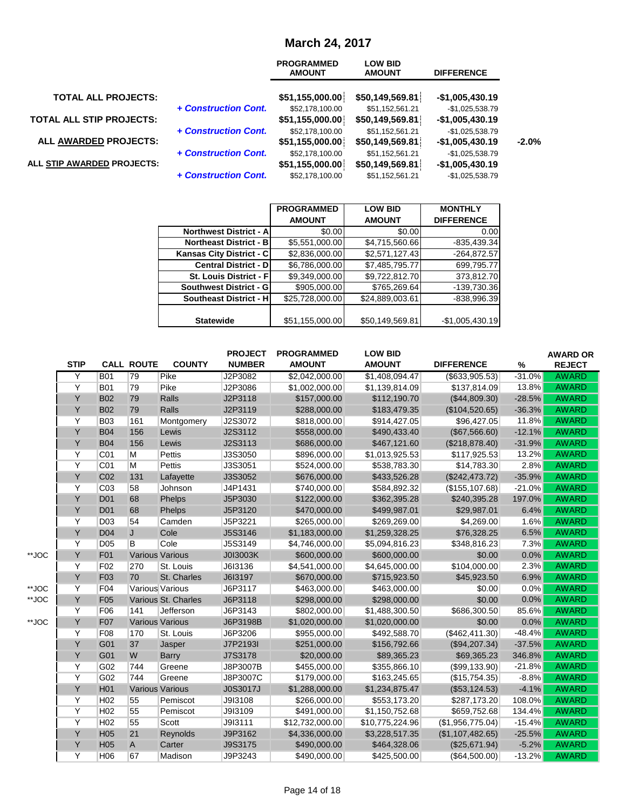# **March 24, 2017**

|                                 |                      | <b>PROGRAMMED</b><br><b>AMOUNT</b>  | <b>LOW BID</b><br><b>AMOUNT</b>    | <b>DIFFERENCE</b>                    |         |
|---------------------------------|----------------------|-------------------------------------|------------------------------------|--------------------------------------|---------|
| <b>TOTAL ALL PROJECTS:</b>      |                      | \$51,155,000.00                     | \$50,149,569.81                    | $-$1,005,430.19$                     |         |
| <b>TOTAL ALL STIP PROJECTS:</b> | + Construction Cont. | \$52,178,100.00<br>\$51,155,000.00  | \$51,152,561.21<br>\$50,149,569.81 | $-$1,025,538.79$<br>$-$1,005,430.19$ |         |
| ALL AWARDED PROJECTS:           | + Construction Cont. | \$52,178,100.00<br>\$51,155,000.00] | \$51,152,561.21<br>\$50,149,569.81 | $-$1,025,538.79$<br>$-$1,005,430.19$ | $-2.0%$ |
| ALL STIP AWARDED PROJECTS:      | + Construction Cont. | \$52,178,100.00<br>\$51,155,000.00  | \$51,152,561.21<br>\$50,149,569.81 | $-$1,025,538.79$<br>$-$1,005,430.19$ |         |
|                                 | + Construction Cont. | \$52,178,100.00                     | \$51,152,561.21                    | $-$1,025,538.79$                     |         |

| <b>PROGRAMMED</b>                                | <b>LOW BID</b>  | <b>MONTHLY</b>                                                                                                           |
|--------------------------------------------------|-----------------|--------------------------------------------------------------------------------------------------------------------------|
| <b>AMOUNT</b>                                    | <b>AMOUNT</b>   | <b>DIFFERENCE</b>                                                                                                        |
| <b>Northwest District - A</b><br>\$0.00          | \$0.00          | 0.00                                                                                                                     |
| \$5,551,000.00<br><b>Northeast District - B</b>  |                 | $-835,439.34$                                                                                                            |
| Kansas City District - C                         |                 | $-264,872.57$                                                                                                            |
| <b>Central District - D</b>                      |                 | 699,795.77                                                                                                               |
| <b>St. Louis District - Fl</b><br>\$9.349.000.00 |                 | 373,812.70                                                                                                               |
| \$905,000.00<br><b>Southwest District - G</b>    |                 | -139,730.36                                                                                                              |
| \$25,728,000.00<br><b>Southeast District - H</b> | \$24,889,003.61 | $-838,996.39$                                                                                                            |
|                                                  |                 |                                                                                                                          |
| \$51,155,000.00                                  | \$50,149,569.81 | $-$1,005,430.19$                                                                                                         |
|                                                  |                 | \$4,715,560.66<br>\$2,836,000.00<br>\$2,571,127.43<br>\$7,485,795.77<br>\$6,786,000.00<br>\$9,722,812.70<br>\$765,269.64 |

|       |             |                 |                        |                     | <b>PROJECT</b>  | <b>PROGRAMMED</b> | <b>LOW BID</b>  |                   |          | <b>AWARD OR</b> |
|-------|-------------|-----------------|------------------------|---------------------|-----------------|-------------------|-----------------|-------------------|----------|-----------------|
|       | <b>STIP</b> |                 | <b>CALL ROUTE</b>      | <b>COUNTY</b>       | <b>NUMBER</b>   | <b>AMOUNT</b>     | <b>AMOUNT</b>   | <b>DIFFERENCE</b> | $\%$     | <b>REJECT</b>   |
|       | Y           | <b>B01</b>      | 79                     | Pike                | J2P3082         | \$2,042,000.00    | \$1,408,094.47  | (\$633,905.53)    | $-31.0%$ | <b>AWARD</b>    |
|       | Y           | <b>B01</b>      | 79                     | Pike                | J2P3086         | \$1,002,000.00    | \$1,139,814.09  | \$137,814.09      | 13.8%    | <b>AWARD</b>    |
|       | Y           | <b>B02</b>      | 79                     | Ralls               | J2P3118         | \$157,000.00      | \$112,190.70    | (\$44,809.30)     | $-28.5%$ | <b>AWARD</b>    |
|       | Y           | <b>B02</b>      | 79                     | Ralls               | J2P3119         | \$288,000.00      | \$183,479.35    | (\$104,520.65)    | $-36.3%$ | <b>AWARD</b>    |
|       | Y           | <b>B03</b>      | 161                    | Montgomery          | J2S3072         | \$818,000.00      | \$914,427.05    | \$96,427.05       | 11.8%    | <b>AWARD</b>    |
|       | Ÿ           | <b>B04</b>      | 156                    | Lewis               | J2S3112         | \$558,000.00      | \$490,433.40    | (\$67,566.60)     | $-12.1%$ | <b>AWARD</b>    |
|       | Y           | <b>B04</b>      | 156                    | Lewis               | J2S3113         | \$686,000.00      | \$467,121.60    | (\$218,878.40)    | $-31.9%$ | <b>AWARD</b>    |
|       | Y           | C <sub>01</sub> | М                      | Pettis              | J3S3050         | \$896,000.00      | \$1,013,925.53  | \$117,925.53      | 13.2%    | <b>AWARD</b>    |
|       | Y           | C <sub>01</sub> | М                      | Pettis              | J3S3051         | \$524,000.00      | \$538,783.30    | \$14,783.30       | 2.8%     | <b>AWARD</b>    |
|       | Υ           | C <sub>02</sub> | 131                    | Lafayette           | J3S3052         | \$676,000.00      | \$433,526.28    | (\$242,473.72)    | $-35.9%$ | <b>AWARD</b>    |
|       | Υ           | C <sub>03</sub> | 58                     | Johnson             | J4P1431         | \$740,000.00      | \$584,892.32    | (\$155, 107.68)   | $-21.0%$ | <b>AWARD</b>    |
|       | Y           | D <sub>01</sub> | 68                     | Phelps              | J5P3030         | \$122,000.00      | \$362,395.28    | \$240,395.28      | 197.0%   | <b>AWARD</b>    |
|       | Υ           | D <sub>01</sub> | 68                     | Phelps              | J5P3120         | \$470,000.00      | \$499,987.01    | \$29,987.01       | 6.4%     | <b>AWARD</b>    |
|       | Y           | D <sub>03</sub> | 54                     | Camden              | J5P3221         | \$265,000.00      | \$269,269.00    | \$4,269.00        | 1.6%     | <b>AWARD</b>    |
|       | Y           | D <sub>04</sub> | J                      | Cole                | J5S3146         | \$1,183,000.00    | \$1,259,328.25  | \$76,328.25       | 6.5%     | <b>AWARD</b>    |
|       | Y           | D <sub>05</sub> | B                      | Cole                | J5S3149         | \$4,746,000.00    | \$5,094,816.23  | \$348,816.23      | 7.3%     | <b>AWARD</b>    |
| **JOC | Y           | F01             | <b>Various Various</b> |                     | J0I3003K        | \$600,000.00      | \$600,000.00    | \$0.00            | 0.0%     | <b>AWARD</b>    |
|       | Y           | F <sub>02</sub> | 270                    | St. Louis           | J6I3136         | \$4,541,000.00    | \$4,645,000.00  | \$104,000.00      | 2.3%     | <b>AWARD</b>    |
|       | Υ           | F <sub>03</sub> | 70                     | St. Charles         | J6I3197         | \$670,000.00      | \$715,923.50    | \$45,923.50       | 6.9%     | <b>AWARD</b>    |
| **JOC | Y           | F04             | Various Various        |                     | J6P3117         | \$463,000.00      | \$463,000.00    | \$0.00            | 0.0%     | <b>AWARD</b>    |
| **JOC | Y           | F <sub>05</sub> |                        | Various St. Charles | J6P3118         | \$298,000.00      | \$298,000.00    | \$0.00            | 0.0%     | <b>AWARD</b>    |
|       | Y           | F06             | 141                    | Jefferson           | J6P3143         | \$802,000.00      | \$1,488,300.50  | \$686,300.50      | 85.6%    | <b>AWARD</b>    |
| **JOC | Y           | F07             | <b>Various Various</b> |                     | J6P3198B        | \$1,020,000.00    | \$1,020,000.00  | \$0.00            | 0.0%     | <b>AWARD</b>    |
|       | Y           | F08             | 170                    | St. Louis           | J6P3206         | \$955,000.00      | \$492,588.70    | (\$462,411.30)    | $-48.4%$ | <b>AWARD</b>    |
|       | Y           | G01             | 37                     | Jasper              | J7P2193I        | \$251,000.00      | \$156,792.66    | (\$94,207.34)     | $-37.5%$ | <b>AWARD</b>    |
|       | Y           | G01             | W                      | <b>Barry</b>        | J7S3178         | \$20,000.00       | \$89,365.23     | \$69,365.23       | 346.8%   | <b>AWARD</b>    |
|       | Y           | G02             | 744                    | Greene              | J8P3007B        | \$455,000.00      | \$355,866.10    | (\$99,133.90)     | $-21.8%$ | <b>AWARD</b>    |
|       | Y           | G <sub>02</sub> | 744                    | Greene              | J8P3007C        | \$179,000.00      | \$163,245.65    | (\$15,754.35)     | $-8.8%$  | <b>AWARD</b>    |
|       | Y           | H <sub>01</sub> | <b>Various Various</b> |                     | <b>J0S3017J</b> | \$1,288,000.00    | \$1,234,875.47  | (\$53,124.53)     | $-4.1%$  | <b>AWARD</b>    |
|       | Y           | H <sub>02</sub> | 55                     | Pemiscot            | J9I3108         | \$266,000.00      | \$553,173.20    | \$287,173.20      | 108.0%   | <b>AWARD</b>    |
|       | Y           | H <sub>02</sub> | 55                     | Pemiscot            | J9I3109         | \$491,000.00      | \$1,150,752.68  | \$659,752.68      | 134.4%   | <b>AWARD</b>    |
|       | Y           | H <sub>02</sub> | 55                     | Scott               | J9I3111         | \$12,732,000.00   | \$10,775,224.96 | (\$1,956,775.04)  | $-15.4%$ | <b>AWARD</b>    |
|       | Y           | H <sub>05</sub> | 21                     | Reynolds            | J9P3162         | \$4,336,000.00    | \$3,228,517.35  | (\$1,107,482.65)  | $-25.5%$ | <b>AWARD</b>    |
|       | Υ           | H <sub>05</sub> | $\mathsf{A}$           | Carter              | J9S3175         | \$490,000.00      | \$464,328.06    | (\$25,671.94)     | $-5.2%$  | <b>AWARD</b>    |
|       | Y           | H06             | 67                     | Madison             | J9P3243         | \$490,000.00      | \$425,500.00    | (\$64,500.00)     | $-13.2%$ | <b>AWARD</b>    |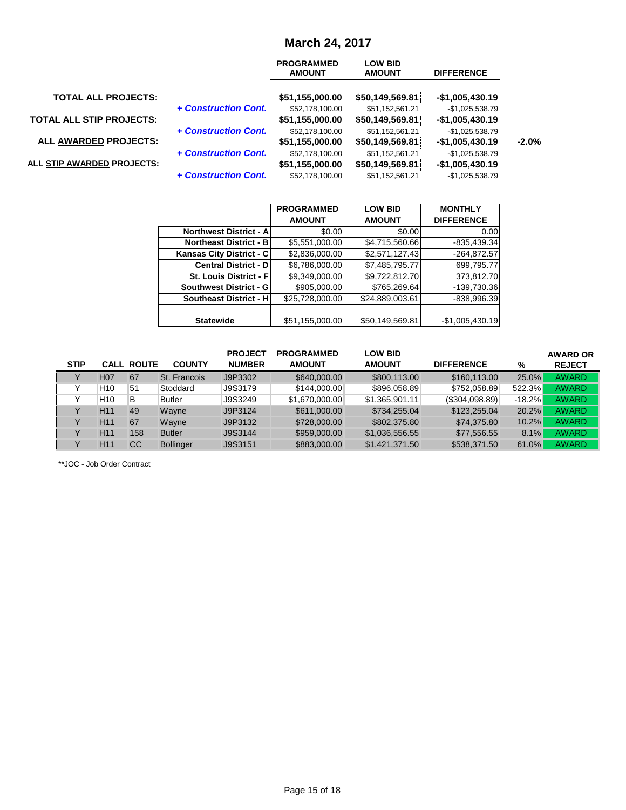## **March 24, 2017**

|                                 |                      | <b>PROGRAMMED</b><br><b>AMOUNT</b> | <b>LOW BID</b><br><b>AMOUNT</b>    | <b>DIFFERENCE</b>                    |         |
|---------------------------------|----------------------|------------------------------------|------------------------------------|--------------------------------------|---------|
| <b>TOTAL ALL PROJECTS:</b>      |                      | \$51,155,000.00                    | \$50,149,569.81                    | $-$1,005,430.19$                     |         |
| <b>TOTAL ALL STIP PROJECTS:</b> | + Construction Cont. | \$52,178,100.00<br>\$51,155,000.00 | \$51,152,561.21<br>\$50,149,569.81 | $-$1,025,538.79$<br>$-$1,005,430.19$ |         |
| <b>ALL AWARDED PROJECTS:</b>    | + Construction Cont. | \$52,178,100.00<br>\$51,155,000.00 | \$51,152,561.21<br>\$50,149,569.81 | $-$1,025,538.79$<br>$-$1,005,430.19$ | $-2.0%$ |
| ALL STIP AWARDED PROJECTS:      | + Construction Cont. | \$52,178,100.00<br>\$51,155,000.00 | \$51,152,561.21<br>\$50,149,569.81 | $-$1,025,538.79$<br>$-$1,005,430.19$ |         |
|                                 | + Construction Cont. | \$52,178,100.00                    | \$51,152,561.21                    | $-$1,025,538.79$                     |         |

|                                | <b>PROGRAMMED</b> | <b>LOW BID</b>  | <b>MONTHLY</b>    |
|--------------------------------|-------------------|-----------------|-------------------|
|                                | <b>AMOUNT</b>     | <b>AMOUNT</b>   | <b>DIFFERENCE</b> |
| <b>Northwest District - A</b>  | \$0.00            | \$0.00          | 0.00              |
| <b>Northeast District - B</b>  | \$5,551,000.00    | \$4,715,560.66  | $-835,439.34$     |
| Kansas City District - C       | \$2,836,000.00    | \$2,571,127.43  | $-264,872.57$     |
| <b>Central District - DI</b>   | \$6,786,000.00    | \$7,485,795.77  | 699,795.77        |
| <b>St. Louis District - Fl</b> | \$9,349,000.00    | \$9,722,812.70  | 373,812.70        |
| <b>Southwest District - GI</b> | \$905,000.00      | \$765,269.64    | -139,730.36       |
| <b>Southeast District - H</b>  | \$25,728,000.00   | \$24,889,003.61 | $-838,996.39$     |
|                                |                   |                 |                   |
| <b>Statewide</b>               | \$51,155,000.00   | \$50,149,569.81 | $-$1,005,430.19$  |

|             |                  |                   |                  | <b>PROJECT</b> | <b>PROGRAMMED</b> | <b>LOW BID</b> |                   |          | <b>AWARD OR</b> |
|-------------|------------------|-------------------|------------------|----------------|-------------------|----------------|-------------------|----------|-----------------|
| <b>STIP</b> |                  | <b>CALL ROUTE</b> | <b>COUNTY</b>    | <b>NUMBER</b>  | <b>AMOUNT</b>     | <b>AMOUNT</b>  | <b>DIFFERENCE</b> | %        | <b>REJECT</b>   |
|             | H <sub>0</sub> 7 | 67                | St. Francois     | J9P3302        | \$640,000,00      | \$800,113,00   | \$160,113,00      | 25.0%    | <b>AWARD</b>    |
|             | H <sub>10</sub>  | 51                | Stoddard         | J9S3179        | \$144,000.00      | \$896,058.89   | \$752,058.89      | 522.3%   | <b>AWARD</b>    |
|             | H <sub>10</sub>  | B                 | <b>Butler</b>    | J9S3249        | \$1,670,000,00    | \$1.365.901.11 | (S304, 098.89)    | $-18.2%$ | <b>AWARD</b>    |
|             | H <sub>11</sub>  | 49                | Wavne            | J9P3124        | \$611,000.00      | \$734,255,04   | \$123,255.04      | 20.2%    | <b>AWARD</b>    |
|             | H <sub>11</sub>  | 67                | Wavne            | J9P3132        | \$728,000,00      | \$802,375.80   | \$74,375.80       | 10.2%    | <b>AWARD</b>    |
|             | H <sub>11</sub>  | 158               | <b>Butler</b>    | J9S3144        | \$959,000.00      | \$1.036.556.55 | \$77.556.55       | 8.1%     | <b>AWARD</b>    |
|             | H <sub>11</sub>  | CC                | <b>Bollinger</b> | J9S3151        | \$883,000,00      | \$1,421,371.50 | \$538,371.50      | 61.0%    | <b>AWARD</b>    |

\*\*JOC - Job Order Contract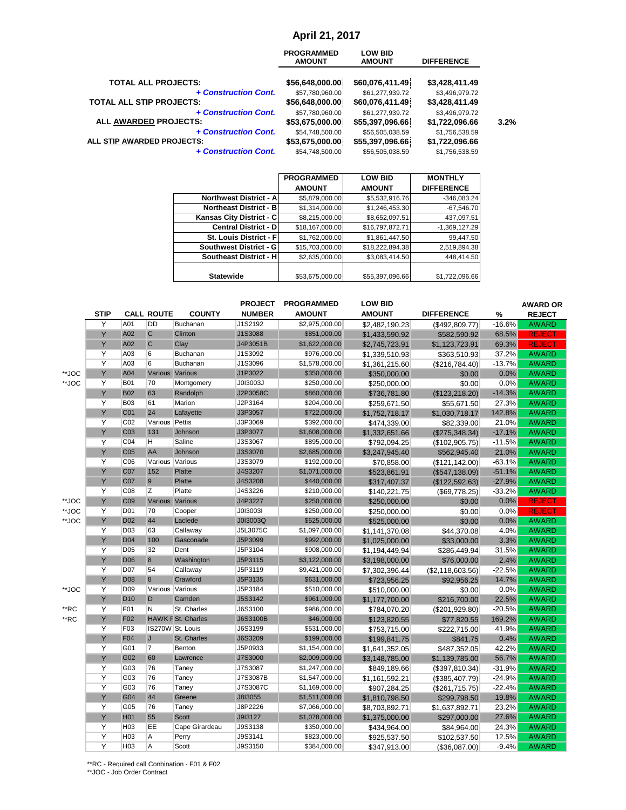#### **April 21, 2017**

|                                 | <b>PROGRAMMED</b><br><b>AMOUNT</b> | <b>LOW BID</b><br><b>AMOUNT</b> | <b>DIFFERENCE</b> |      |
|---------------------------------|------------------------------------|---------------------------------|-------------------|------|
| <b>TOTAL ALL PROJECTS:</b>      | \$56,648,000.00                    | \$60,076,411.49                 | \$3,428,411.49    |      |
| + Construction Cont.            | \$57,780,960.00                    | \$61,277,939.72                 | \$3,496,979.72    |      |
| <b>TOTAL ALL STIP PROJECTS:</b> | \$56,648,000.00                    | \$60,076,411.49                 | \$3,428,411.49    |      |
| + Construction Cont.            | \$57,780,960.00                    | \$61,277,939.72                 | \$3,496,979.72    | 3.2% |
| ALL AWARDED PROJECTS:           | \$53,675,000.00                    | \$55,397,096.66                 | \$1,722,096.66    |      |
| + Construction Cont.            | \$54,748,500.00                    | \$56,505,038.59                 | \$1,756,538.59    |      |
| ALL STIP AWARDED PROJECTS:      | \$53,675,000.00                    | \$55,397,096.66                 | \$1,722,096.66    |      |
| + Construction Cont.            | \$54,748,500.00                    | \$56,505,038.59                 | \$1,756,538.59    |      |

|                                | <b>PROGRAMMED</b> | <b>LOW BID</b>  | <b>MONTHLY</b>    |
|--------------------------------|-------------------|-----------------|-------------------|
|                                | <b>AMOUNT</b>     | <b>AMOUNT</b>   | <b>DIFFERENCE</b> |
| <b>Northwest District - Al</b> | \$5,879,000.00    | \$5,532,916.76  | $-346,083.24$     |
| <b>Northeast District - B</b>  | \$1,314,000.00    | \$1,246,453.30  | $-67,546.70$      |
| Kansas City District - C       | \$8,215,000.00    | \$8,652,097.51  | 437,097.51        |
| <b>Central District - D</b>    | \$18,167,000.00   | \$16,797,872.71 | $-1,369,127.29$   |
| St. Louis District - F         | \$1,762,000.00    | \$1,861,447.50  | 99,447.50         |
| Southwest District - G         | \$15,703,000.00   | \$18,222,894.38 | 2,519,894.38      |
| Southeast District - H         | \$2,635,000.00    | \$3,083,414.50  | 448,414.50        |
|                                |                   |                 |                   |
| <b>Statewide</b>               | \$53,675,000.00   | \$55,397,096.66 | \$1,722,096.66    |

|       |                |                 |                   |                           | <b>PROJECT</b> | <b>PROGRAMMED</b> | <b>LOW BID</b> |                   |          | <b>AWARD OR</b> |
|-------|----------------|-----------------|-------------------|---------------------------|----------------|-------------------|----------------|-------------------|----------|-----------------|
|       | <b>STIP</b>    |                 | <b>CALL ROUTE</b> | <b>COUNTY</b>             | <b>NUMBER</b>  | <b>AMOUNT</b>     | <b>AMOUNT</b>  | <b>DIFFERENCE</b> | %        | <b>REJECT</b>   |
|       | Y              | A01             | <b>DD</b>         | Buchanan                  | J1S2192        | \$2,975,000.00    | \$2,482,190.23 | (\$492,809.77)    | $-16.6%$ | <b>AWARD</b>    |
|       | Y              | A02             | $\overline{C}$    | Clinton                   | J1S3088        | \$851,000.00      | \$1,433,590.92 | \$582,590.92      | 68.5%    | <b>REJECT</b>   |
|       | Y              | A02             | $\mathsf{C}$      | Clay                      | J4P3051B       | \$1,622,000.00    | \$2,745,723.91 | \$1,123,723.91    | 69.3%    | <b>REJECT</b>   |
|       | $\overline{Y}$ | A03             | 6                 | Buchanan                  | J1S3092        | \$976,000.00      | \$1,339,510.93 | \$363,510.93      | 37.2%    | <b>AWARD</b>    |
|       | Y              | A03             | 6                 | Buchanan                  | J1S3096        | \$1,578,000.00    | \$1,361,215.60 | (\$216,784.40)    | $-13.7%$ | <b>AWARD</b>    |
| **JOC | Y              | A04             | Various Various   |                           | J1P3022        | \$350,000.00      | \$350,000.00   | \$0.00            | 0.0%     | <b>AWARD</b>    |
| **JOC | Y              | <b>B01</b>      | 70                | Montgomery                | J0I3003J       | \$250,000.00      | \$250,000.00   | \$0.00            | 0.0%     | <b>AWARD</b>    |
|       | Y              | <b>B02</b>      | 63                | Randolph                  | J2P3058C       | \$860,000.00      | \$736,781.80   | (\$123, 218.20)   | $-14.3%$ | <b>AWARD</b>    |
|       | Y              | <b>B03</b>      | 61                | Marion                    | J2P3164        | \$204,000.00      | \$259,671.50   | \$55,671.50       | 27.3%    | <b>AWARD</b>    |
|       | Y              | CO <sub>1</sub> | 24                | Lafayette                 | J3P3057        | \$722,000.00      | \$1,752,718.17 | \$1,030,718.17    | 142.8%   | <b>AWARD</b>    |
|       | Y              | CO <sub>2</sub> | Various Pettis    |                           | J3P3069        | \$392,000.00      | \$474,339.00   | \$82,339.00       | 21.0%    | <b>AWARD</b>    |
|       | Y              | CO <sub>3</sub> | 131               | Johnson                   | J3P3077        | \$1,608,000.00    | \$1,332,651.66 | (\$275,348.34)    | $-17.1%$ | <b>AWARD</b>    |
|       | Y              | CO <sub>4</sub> | H                 | Saline                    | J3S3067        | \$895,000.00      | \$792,094.25   | (\$102,905.75)    | $-11.5%$ | <b>AWARD</b>    |
|       | Υ              | CO <sub>5</sub> | AA                | Johnson                   | J3S3070        | \$2,685,000.00    | \$3,247,945.40 | \$562,945.40      | 21.0%    | <b>AWARD</b>    |
|       | Y              | C <sub>06</sub> | Various Various   |                           | J3S3079        | \$192,000.00      | \$70,858.00    | (\$121, 142.00)   | $-63.1%$ | <b>AWARD</b>    |
|       | Y              | <b>C07</b>      | 152               | Platte                    | J4S3207        | \$1,071,000.00    | \$523,861.91   | (\$547,138.09)    | $-51.1%$ | <b>AWARD</b>    |
|       | Υ              | <b>C07</b>      | 9                 | Platte                    | J4S3208        | \$440,000.00      | \$317,407.37   | (\$122,592.63)    | $-27.9%$ | <b>AWARD</b>    |
|       | Y              | CO8             | Z                 | Platte                    | J4S3226        | \$210,000.00      | \$140,221.75   | (\$69,778.25)     | $-33.2%$ | <b>AWARD</b>    |
| **JOC | Y              | C <sub>09</sub> | Various Various   |                           | J4P3227        | \$250,000.00      | \$250,000.00   | \$0.00            | 0.0%     | <b>REJECT</b>   |
| **JOC | $\overline{Y}$ | D <sub>01</sub> | 70                | Cooper                    | J0I3003I       | \$250,000.00      | \$250,000.00   | \$0.00            | 0.0%     | <b>REJECT</b>   |
| **JOC | Y              | D <sub>02</sub> | 44                | Laclede                   | J0I3003Q       | \$525,000.00      | \$525,000.00   | \$0.00            | 0.0%     | <b>AWARD</b>    |
|       | Y              | D <sub>03</sub> | 63                | Callaway                  | J5L3075C       | \$1,097,000.00    | \$1,141,370.08 | \$44,370.08       | 4.0%     | <b>AWARD</b>    |
|       | Ÿ              | D <sub>04</sub> | 100               | Gasconade                 | J5P3099        | \$992,000.00      | \$1,025,000.00 | \$33,000.00       | 3.3%     | <b>AWARD</b>    |
|       | $\overline{Y}$ | D <sub>05</sub> | 32                | Dent                      | J5P3104        | \$908,000.00      | \$1,194,449.94 | \$286,449.94      | 31.5%    | <b>AWARD</b>    |
|       | Y              | D <sub>06</sub> | $\bf{8}$          | Washington                | J5P3115        | \$3,122,000.00    | \$3,198,000.00 | \$76,000.00       | 2.4%     | <b>AWARD</b>    |
|       | Y              | <b>D07</b>      | 54                | Callaway                  | J5P3119        | \$9,421,000.00    | \$7,302,396.44 | (\$2,118,603.56)  | $-22.5%$ | <b>AWARD</b>    |
|       | Y              | D <sub>08</sub> | $\bf{8}$          | Crawford                  | J5P3135        | \$631,000.00      | \$723,956.25   | \$92,956.25       | 14.7%    | <b>AWARD</b>    |
| **JOC | Y              | D <sub>09</sub> | Various Various   |                           | J5P3184        | \$510,000.00      | \$510,000.00   | \$0.00            | 0.0%     | <b>AWARD</b>    |
|       | Y              | D <sub>10</sub> | D                 | Camden                    | J5S3142        | \$961,000.00      | \$1,177,700.00 | \$216,700.00      | 22.5%    | <b>AWARD</b>    |
| **RC  | Y              | F01             | N                 | St. Charles               | J6S3100        | \$986,000.00      | \$784,070.20   | (\$201,929.80)    | $-20.5%$ | <b>AWARD</b>    |
| **RC  | Y              | F <sub>02</sub> |                   | <b>HAWK F St. Charles</b> | J6S3100B       | \$46,000.00       | \$123,820.55   | \$77,820.55       | 169.2%   | <b>AWARD</b>    |
|       | Y              | F <sub>03</sub> |                   | IS270W St. Louis          | J6S3199        | \$531,000.00      | \$753,715.00   | \$222,715.00      | 41.9%    | <b>AWARD</b>    |
|       | Υ              | <b>F04</b>      | J                 | St. Charles               | J6S3209        | \$199,000.00      | \$199,841.75   | \$841.75          | 0.4%     | <b>AWARD</b>    |
|       | Y              | G01             | $\overline{7}$    | Benton                    | J5P0933        | \$1,154,000.00    | \$1,641,352.05 | \$487,352.05      | 42.2%    | <b>AWARD</b>    |
|       | Ÿ              | G02             | 60                | Lawrence                  | J7S3000        | \$2,009,000.00    | \$3,148,785.00 | \$1,139,785.00    | 56.7%    | <b>AWARD</b>    |
|       | Y              | G03             | 76                | Taney                     | J7S3087        | \$1,247,000.00    | \$849,189.66   | (\$397, 810.34)   | $-31.9%$ | <b>AWARD</b>    |
|       | $\overline{Y}$ | G03             | 76                | Taney                     | J7S3087B       | \$1,547,000.00    | \$1,161,592.21 | (\$385,407.79)    | $-24.9%$ | <b>AWARD</b>    |
|       | Y              | G03             | 76                | Taney                     | J7S3087C       | \$1,169,000.00    | \$907,284.25   | (\$261,715.75)    | $-22.4%$ | <b>AWARD</b>    |
|       | Y              | G04             | 44                | Greene                    | J8I3055        | \$1,511,000.00    | \$1,810,798.50 | \$299,798.50      | 19.8%    | <b>AWARD</b>    |
|       | Y              | G05             | 76                | Taney                     | J8P2226        | \$7,066,000.00    | \$8,703,892.71 | \$1,637,892.71    | 23.2%    | <b>AWARD</b>    |
|       | Ÿ              | <b>H01</b>      | 55                | <b>Scott</b>              | J9I3127        | \$1,078,000.00    | \$1,375,000.00 | \$297,000.00      | 27.6%    | <b>AWARD</b>    |
|       | Y              | H <sub>03</sub> | EE                | Cape Girardeau            | J9S3138        | \$350,000.00      | \$434,964.00   | \$84,964.00       | 24.3%    | <b>AWARD</b>    |
|       | Y              | H <sub>03</sub> | A                 | Perry                     | J9S3141        | \$823,000.00      | \$925,537.50   | \$102,537.50      | 12.5%    | <b>AWARD</b>    |
|       | Y              | H <sub>03</sub> | A                 | Scott                     | J9S3150        | \$384,000.00      | \$347,913.00   | (\$36,087.00)     | $-9.4%$  | <b>AWARD</b>    |

\*\*RC - Required call Conbination - F01 & F02 \*\*JOC - Job Order Contract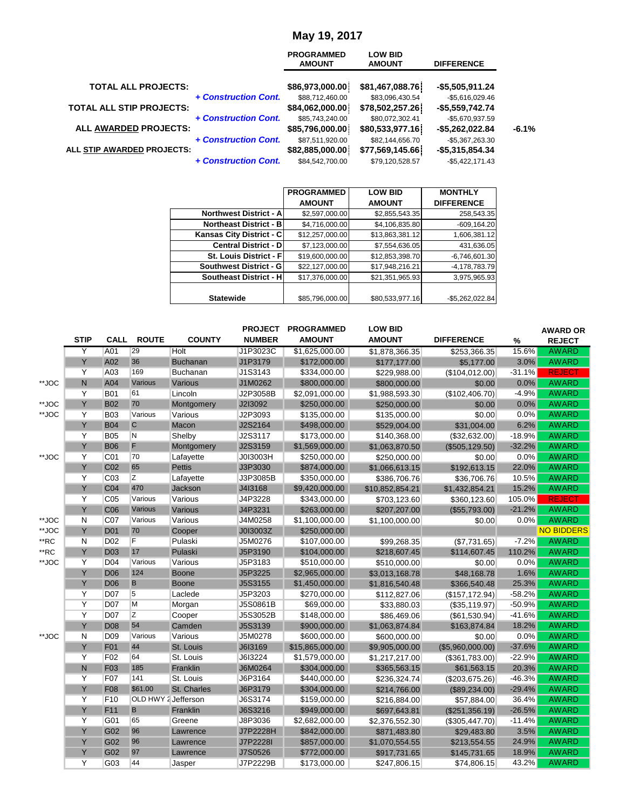## **May 19, 2017**

|                                 |                      | <b>PROGRAMMED</b><br><b>AMOUNT</b> | <b>LOW BID</b><br><b>AMOUNT</b>    | <b>DIFFERENCE</b>                    |         |
|---------------------------------|----------------------|------------------------------------|------------------------------------|--------------------------------------|---------|
| <b>TOTAL ALL PROJECTS:</b>      |                      | \$86,973,000.00                    | \$81,467,088.76                    | $-$5,505,911.24$                     |         |
| <b>TOTAL ALL STIP PROJECTS:</b> | + Construction Cont. | \$88,712,460.00<br>\$84,062,000.00 | \$83,096,430.54<br>\$78,502,257.26 | $-$5,616,029.46$<br>$-$5,559,742.74$ |         |
| ALL AWARDED PROJECTS:           | + Construction Cont. | \$85,743,240.00<br>\$85,796,000.00 | \$80,072,302.41<br>\$80,533,977.16 | -\$5,670,937.59<br>-\$5,262,022.84   | $-6.1%$ |
| ALL STIP AWARDED PROJECTS:      | + Construction Cont. | \$87,511,920.00<br>\$82,885,000.00 | \$82,144,656.70<br>\$77,569,145.66 | -\$5,367,263.30<br>$-$5,315,854.34$  |         |
|                                 | + Construction Cont. | \$84,542,700.00                    | \$79,120,528.57                    | $-$5,422,171.43$                     |         |

|                                | <b>PROGRAMMED</b> | <b>LOW BID</b>  | <b>MONTHLY</b>    |
|--------------------------------|-------------------|-----------------|-------------------|
|                                | <b>AMOUNT</b>     | <b>AMOUNT</b>   | <b>DIFFERENCE</b> |
| <b>Northwest District - A</b>  | \$2,597,000.00    | \$2,855,543.35  | 258,543.35        |
| <b>Northeast District - BI</b> | \$4,716,000.00    | \$4,106,835.80  | $-609, 164.20$    |
| Kansas City District - C       | \$12,257,000.00   | \$13,863,381.12 | 1,606,381.12      |
| <b>Central District - D</b>    | \$7,123,000.00    | \$7,554,636.05  | 431,636.05        |
| <b>St. Louis District - Fl</b> | \$19,600,000.00   | \$12,853,398.70 | $-6,746,601.30$   |
| Southwest District - G         | \$22,127,000.00   | \$17,948,216.21 | $-4,178,783.79$   |
| <b>Southeast District - HI</b> | \$17,376,000.00   | \$21,351,965.93 | 3,975,965.93      |
| <b>Statewide</b>               | \$85,796,000.00   | \$80,533,977.16 | $-$5,262,022.84$  |

|       | <b>STIP</b> | <b>CALL</b>     | <b>ROUTE</b>            | <b>COUNTY</b>   | <b>PROJECT</b><br><b>NUMBER</b> | <b>PROGRAMMED</b><br><b>AMOUNT</b> | <b>LOW BID</b><br><b>AMOUNT</b> | <b>DIFFERENCE</b> | $\%$     | <b>AWARD OR</b><br><b>REJECT</b> |
|-------|-------------|-----------------|-------------------------|-----------------|---------------------------------|------------------------------------|---------------------------------|-------------------|----------|----------------------------------|
|       | Y           | A01             | 29                      | Holt            | J1P3023C                        | \$1,625,000.00                     | \$1,878,366.35                  | \$253,366.35      | 15.6%    | <b>AWARD</b>                     |
|       | Ÿ           | A02             | 36                      | <b>Buchanan</b> | J1P3179                         | \$172,000.00                       | \$177,177.00                    | \$5,177.00        | 3.0%     | <b>AWARD</b>                     |
|       | Υ           | A03             | 169                     | Buchanan        | J1S3143                         | \$334,000.00                       | \$229,988.00                    | (\$104,012.00)    | $-31.1%$ | <b>REJECT</b>                    |
| **JOC | N           | A04             | Various                 | Various         | J1M0262                         | \$800,000.00                       | \$800,000.00                    | \$0.00            | 0.0%     | <b>AWARD</b>                     |
|       | Y           | <b>B01</b>      | 61                      | Lincoln         | J2P3058B                        | \$2,091,000.00                     | \$1,988,593.30                  | (\$102,406.70)    | $-4.9%$  | <b>AWARD</b>                     |
| **JOC | Y           | <b>B02</b>      | 70                      | Montgomery      | J2I3092                         | \$250,000.00                       | \$250,000.00                    | \$0.00            | 0.0%     | <b>AWARD</b>                     |
| **JOC | Υ           | <b>B03</b>      | Various                 | Various         | J2P3093                         | \$135,000.00                       | \$135,000.00                    | \$0.00            | 0.0%     | <b>AWARD</b>                     |
|       | Υ           | <b>B04</b>      | $\mathsf{C}$            | Macon           | J2S2164                         | \$498,000.00                       | \$529,004.00                    | \$31,004.00       | 6.2%     | <b>AWARD</b>                     |
|       | Y           | <b>B05</b>      | $\overline{\mathsf{N}}$ | Shelby          | J2S3117                         | \$173,000.00                       | \$140,368.00                    | (\$32,632.00)     | $-18.9%$ | <b>AWARD</b>                     |
|       | Y           | <b>B06</b>      | F                       | Montgomery      | J2S3159                         | \$1,569,000.00                     | \$1,063,870.50                  | (\$505, 129.50)   | $-32.2%$ | <b>AWARD</b>                     |
| **JOC | Y           | CO <sub>1</sub> | 70                      | Lafayette       | J0I3003H                        | \$250,000.00                       | \$250,000.00                    | \$0.00            | 0.0%     | <b>AWARD</b>                     |
|       | Υ           | C <sub>02</sub> | 65                      | <b>Pettis</b>   | J3P3030                         | \$874,000.00                       | \$1,066,613.15                  | \$192,613.15      | 22.0%    | <b>AWARD</b>                     |
|       | Y           | C <sub>03</sub> | Ζ                       | Lafayette       | J3P3085B                        | \$350,000.00                       | \$386,706.76                    | \$36,706.76       | 10.5%    | <b>AWARD</b>                     |
|       | Ÿ           | CO <sub>4</sub> | 470                     | Jackson         | J4I3168                         | \$9,420,000.00                     | \$10,852,854.21                 | \$1,432,854.21    | 15.2%    | <b>AWARD</b>                     |
|       | Ÿ           | CO <sub>5</sub> | Various                 | Various         | J4P3228                         | \$343,000.00                       | \$703,123.60                    | \$360,123.60      | 105.0%   | <b>REJECT</b>                    |
|       | Ÿ           | C <sub>06</sub> | Various                 | Various         | J4P3231                         | \$263,000.00                       | \$207,207.00                    | (\$55,793.00)     | $-21.2%$ | <b>AWARD</b>                     |
| **JOC | N           | C <sub>07</sub> | Various                 | Various         | J4M0258                         | \$1,100,000.00                     | \$1,100,000.00                  | \$0.00            | 0.0%     | <b>AWARD</b>                     |
| **JOC | Y           | <b>D01</b>      | 70                      | Cooper          | J013003Z                        | \$250,000.00                       |                                 |                   |          | <b>NO BIDDERS</b>                |
| **RC  | N           | <b>D02</b>      | F                       | Pulaski         | J5M0276                         | \$107,000.00                       | \$99,268.35                     | (\$7,731.65)      | $-7.2%$  | <b>AWARD</b>                     |
| **RC  | Ÿ           | <b>D03</b>      | 17                      | Pulaski         | J5P3190                         | \$104,000.00                       | \$218,607.45                    | \$114,607.45      | 110.2%   | <b>AWARD</b>                     |
| **JOC | Y           | <b>D04</b>      | Various                 | Various         | J5P3183                         | \$510,000.00                       | \$510,000.00                    | \$0.00            | 0.0%     | <b>AWARD</b>                     |
|       | Y           | <b>D06</b>      | 124                     | <b>Boone</b>    | J5P3225                         | \$2,965,000.00                     | \$3,013,168.78                  | \$48,168.78       | 1.6%     | <b>AWARD</b>                     |
|       | Y           | <b>D06</b>      | B                       | <b>Boone</b>    | J5S3155                         | \$1,450,000.00                     | \$1,816,540.48                  | \$366,540.48      | 25.3%    | <b>AWARD</b>                     |
|       | Y           | <b>D07</b>      | 5                       | Laclede         | J5P3203                         | \$270,000.00                       | \$112,827.06                    | (\$157, 172.94)   | $-58.2%$ | <b>AWARD</b>                     |
|       | Y           | <b>D07</b>      | M                       | Morgan          | J5S0861B                        | \$69,000.00                        | \$33,880.03                     | (\$35,119.97)     | $-50.9%$ | <b>AWARD</b>                     |
|       | Y           | <b>D07</b>      | Z                       | Cooper          | J5S3052B                        | \$148,000.00                       | \$86,469.06                     | (\$61,530.94)     | $-41.6%$ | <b>AWARD</b>                     |
|       | Y           | <b>D08</b>      | 54                      | Camden          | J5S3139                         | \$900,000.00                       | \$1,063,874.84                  | \$163,874.84      | 18.2%    | <b>AWARD</b>                     |
| **JOC | N           | <b>D09</b>      | Various                 | Various         | J5M0278                         | \$600,000.00                       | \$600,000.00                    | \$0.00            | 0.0%     | <b>AWARD</b>                     |
|       | Ÿ           | <b>F01</b>      | 44                      | St. Louis       | J6I3169                         | \$15,865,000.00                    | \$9,905,000.00                  | (\$5,960,000.00)  | $-37.6%$ | <b>AWARD</b>                     |
|       | Y           | F <sub>02</sub> | 64                      | St. Louis       | J6I3224                         | \$1,579,000.00                     | \$1,217,217.00                  | (\$361,783.00)    | $-22.9%$ | <b>AWARD</b>                     |
|       | N           | F <sub>03</sub> | 185                     | Franklin        | J6M0264                         | \$304,000.00                       | \$365,563.15                    | \$61,563.15       | 20.3%    | <b>AWARD</b>                     |
|       | Ÿ           | F07             | 141                     | St. Louis       | J6P3164                         | \$440,000.00                       | \$236,324.74                    | (\$203,675.26)    | $-46.3%$ | <b>AWARD</b>                     |
|       | Ÿ           | <b>F08</b>      | \$61.00                 | St. Charles     | J6P3179                         | \$304,000.00                       | \$214,766.00                    | (\$89,234.00)     | $-29.4%$ | <b>AWARD</b>                     |
|       | Y           | F <sub>10</sub> | OLD HWY 2 Jefferson     |                 | J6S3174                         | \$159,000.00                       | \$216,884.00                    | \$57,884.00       | 36.4%    | <b>AWARD</b>                     |
|       | Y           | F <sub>11</sub> | B                       | Franklin        | J6S3216                         | \$949,000.00                       | \$697,643.81                    | (\$251,356.19)    | $-26.5%$ | <b>AWARD</b>                     |
|       | Υ           | G01             | 65                      | Greene          | J8P3036                         | \$2,682,000.00                     | \$2,376,552.30                  | (\$305,447.70)    | $-11.4%$ | <b>AWARD</b>                     |
|       | Ÿ           | G02             | 96                      | Lawrence        | J7P2228H                        | \$842,000.00                       | \$871,483.80                    | \$29,483.80       | 3.5%     | <b>AWARD</b>                     |
|       | Υ           | G02             | 96                      | Lawrence        | J7P2228I                        | \$857,000.00                       | \$1,070,554.55                  | \$213,554.55      | 24.9%    | <b>AWARD</b>                     |
|       | Ÿ           | G02             | 97                      | Lawrence        | J7S0526                         | \$772,000.00                       | \$917,731.65                    | \$145,731.65      | 18.9%    | <b>AWARD</b>                     |
|       | Y           | G03             | 44                      | Jasper          | J7P2229B                        | \$173,000.00                       | \$247,806.15                    | \$74,806.15       | 43.2%    | <b>AWARD</b>                     |